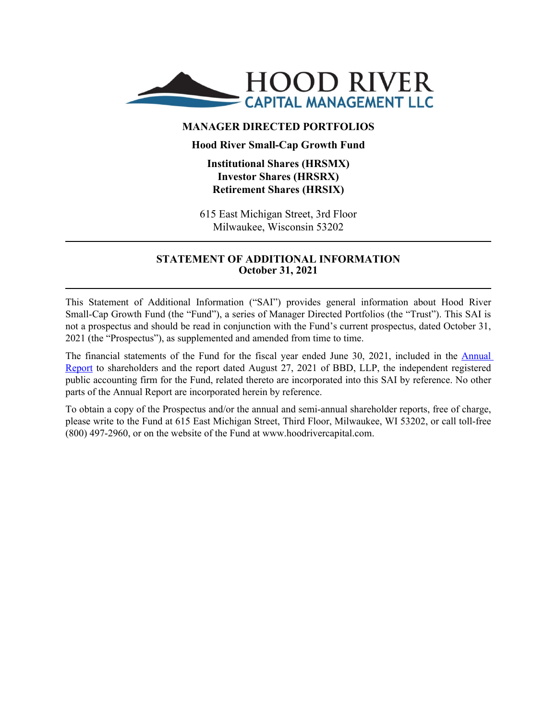

## **MANAGER DIRECTED PORTFOLIOS**

## **Hood River Small-Cap Growth Fund**

## **Institutional Shares (HRSMX) Investor Shares (HRSRX) Retirement Shares (HRSIX)**

615 East Michigan Street, 3rd Floor Milwaukee, Wisconsin 53202

## **STATEMENT OF ADDITIONAL INFORMATION October 31, 2021**

This Statement of Additional Information ("SAI") provides general information about Hood River Small-Cap Growth Fund (the "Fund"), a series of Manager Directed Portfolios (the "Trust"). This SAI is not a prospectus and should be read in conjunction with the Fund's current prospectus, dated October 31, 2021 (the "Prospectus"), as supplemented and amended from time to time.

The financial statements of the Fund for the fiscal year ended June 30, 2021, included in the [Annual](http://www.sec.gov/Archives/edgar/data/1359057/000089853121000419/hrscgf-ncsra.htm)  [Report](http://www.sec.gov/Archives/edgar/data/1359057/000089853121000419/hrscgf-ncsra.htm) to shareholders and the report dated August 27, 2021 of BBD, LLP, the independent registered public accounting firm for the Fund, related thereto are incorporated into this SAI by reference. No other parts of the Annual Report are incorporated herein by reference.

To obtain a copy of the Prospectus and/or the annual and semi-annual shareholder reports, free of charge, please write to the Fund at 615 East Michigan Street, Third Floor, Milwaukee, WI 53202, or call toll-free (800) 497-2960, or on the website of the Fund at www.hoodrivercapital.com.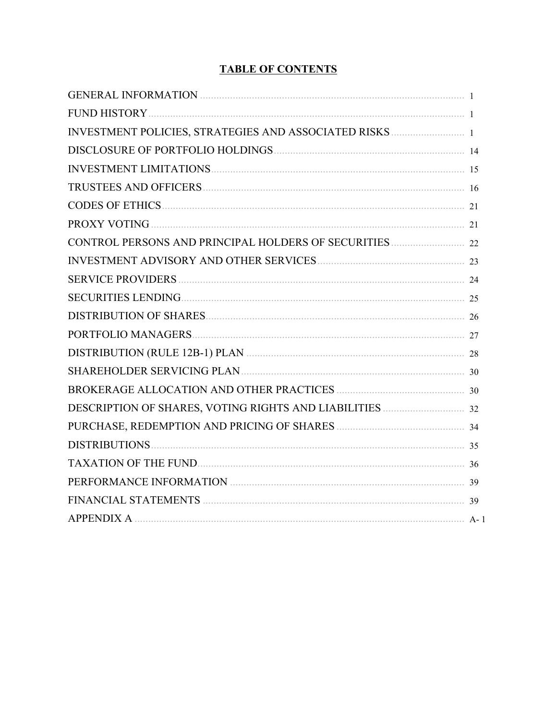# **TABLE OF CONTENTS**

| PROXY VOTING 21         |  |
|-------------------------|--|
|                         |  |
|                         |  |
| SERVICE PROVIDERS 24    |  |
|                         |  |
|                         |  |
|                         |  |
|                         |  |
|                         |  |
|                         |  |
|                         |  |
|                         |  |
| DISTRIBUTIONS 25        |  |
| TAXATION OF THE FUND 36 |  |
|                         |  |
|                         |  |
|                         |  |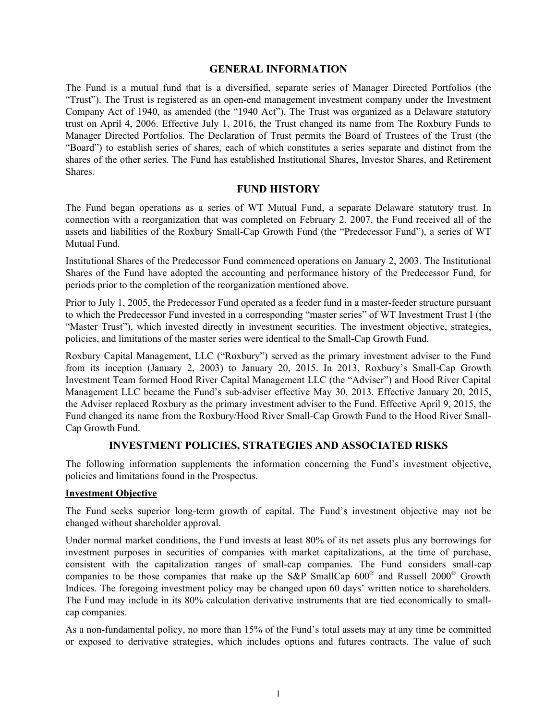### **GENERAL INFORMATION**

<span id="page-2-0"></span>The Fund is a mutual fund that is a diversified, separate series of Manager Directed Portfolios (the "Trust"). The Trust is registered as an open-end management investment company under the Investment Company Act of 1940, as amended (the "1940 Act"). The Trust was organized as a Delaware statutory trust on April 4, 2006. Effective July 1, 2016, the Trust changed its name from The Roxbury Funds to Manager Directed Portfolios. The Declaration of Trust permits the Board of Trustees of the Trust (the "Board") to establish series of shares, each of which constitutes a series separate and distinct from the shares of the other series. The Fund has established Institutional Shares, Investor Shares, and Retirement Shares.

### **FUND HISTORY**

The Fund began operations as a series of WT Mutual Fund, a separate Delaware statutory trust. In connection with a reorganization that was completed on February 2, 2007, the Fund received all of the assets and liabilities of the Roxbury Small-Cap Growth Fund (the "Predecessor Fund"), a series of WT Mutual Fund.

Institutional Shares of the Predecessor Fund commenced operations on January 2, 2003. The Institutional Shares of the Fund have adopted the accounting and performance history of the Predecessor Fund, for periods prior to the completion of the reorganization mentioned above.

Prior to July 1, 2005, the Predecessor Fund operated as a feeder fund in a master-feeder structure pursuant to which the Predecessor Fund invested in a corresponding "master series" of WT Investment Trust I (the "Master Trust"), which invested directly in investment securities. The investment objective, strategies, policies, and limitations of the master series were identical to the Small-Cap Growth Fund.

Roxbury Capital Management, LLC ("Roxbury") served as the primary investment adviser to the Fund from its inception (January 2, 2003) to January 20, 2015. In 2013, Roxbury's Small-Cap Growth Investment Team formed Hood River Capital Management LLC (the "Adviser") and Hood River Capital Management LLC became the Fund's sub-adviser effective May 30, 2013. Effective January 20, 2015, the Adviser replaced Roxbury as the primary investment adviser to the Fund. Effective April 9, 2015, the Fund changed its name from the Roxbury/Hood River Small-Cap Growth Fund to the Hood River Small-Cap Growth Fund.

### **INVESTMENT POLICIES, STRATEGIES AND ASSOCIATED RISKS**

The following information supplements the information concerning the Fund's investment objective, policies and limitations found in the Prospectus.

#### **Investment Objective**

The Fund seeks superior long-term growth of capital. The Fund's investment objective may not be changed without shareholder approval.

Under normal market conditions, the Fund invests at least 80% of its net assets plus any borrowings for investment purposes in securities of companies with market capitalizations, at the time of purchase, consistent with the capitalization ranges of small-cap companies. The Fund considers small-cap companies to be those companies that make up the S&P SmallCap  $600^{\circ}$  and Russell  $2000^{\circ}$  Growth Indices. The foregoing investment policy may be changed upon 60 days' written notice to shareholders. The Fund may include in its 80% calculation derivative instruments that are tied economically to smallcap companies.

As a non-fundamental policy, no more than 15% of the Fund's total assets may at any time be committed or exposed to derivative strategies, which includes options and futures contracts. The value of such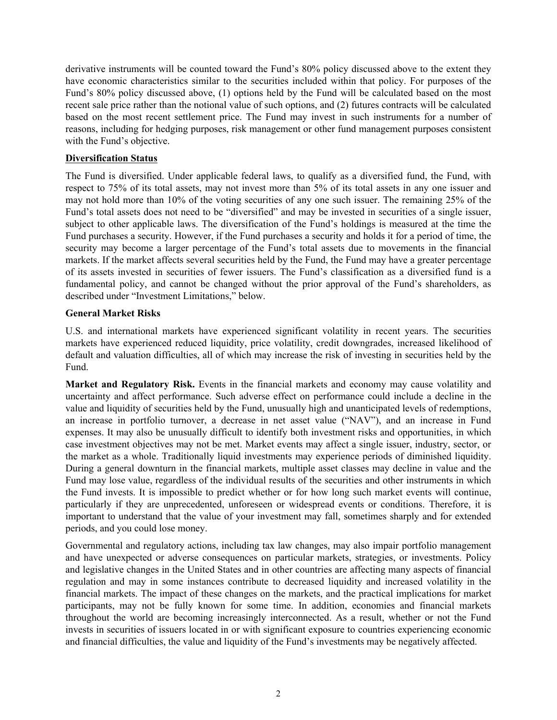derivative instruments will be counted toward the Fund's 80% policy discussed above to the extent they have economic characteristics similar to the securities included within that policy. For purposes of the Fund's 80% policy discussed above, (1) options held by the Fund will be calculated based on the most recent sale price rather than the notional value of such options, and (2) futures contracts will be calculated based on the most recent settlement price. The Fund may invest in such instruments for a number of reasons, including for hedging purposes, risk management or other fund management purposes consistent with the Fund's objective.

### **Diversification Status**

The Fund is diversified. Under applicable federal laws, to qualify as a diversified fund, the Fund, with respect to 75% of its total assets, may not invest more than 5% of its total assets in any one issuer and may not hold more than 10% of the voting securities of any one such issuer. The remaining 25% of the Fund's total assets does not need to be "diversified" and may be invested in securities of a single issuer, subject to other applicable laws. The diversification of the Fund's holdings is measured at the time the Fund purchases a security. However, if the Fund purchases a security and holds it for a period of time, the security may become a larger percentage of the Fund's total assets due to movements in the financial markets. If the market affects several securities held by the Fund, the Fund may have a greater percentage of its assets invested in securities of fewer issuers. The Fund's classification as a diversified fund is a fundamental policy, and cannot be changed without the prior approval of the Fund's shareholders, as described under "Investment Limitations," below.

### **General Market Risks**

U.S. and international markets have experienced significant volatility in recent years. The securities markets have experienced reduced liquidity, price volatility, credit downgrades, increased likelihood of default and valuation difficulties, all of which may increase the risk of investing in securities held by the Fund.

**Market and Regulatory Risk.** Events in the financial markets and economy may cause volatility and uncertainty and affect performance. Such adverse effect on performance could include a decline in the value and liquidity of securities held by the Fund, unusually high and unanticipated levels of redemptions, an increase in portfolio turnover, a decrease in net asset value ("NAV"), and an increase in Fund expenses. It may also be unusually difficult to identify both investment risks and opportunities, in which case investment objectives may not be met. Market events may affect a single issuer, industry, sector, or the market as a whole. Traditionally liquid investments may experience periods of diminished liquidity. During a general downturn in the financial markets, multiple asset classes may decline in value and the Fund may lose value, regardless of the individual results of the securities and other instruments in which the Fund invests. It is impossible to predict whether or for how long such market events will continue, particularly if they are unprecedented, unforeseen or widespread events or conditions. Therefore, it is important to understand that the value of your investment may fall, sometimes sharply and for extended periods, and you could lose money.

Governmental and regulatory actions, including tax law changes, may also impair portfolio management and have unexpected or adverse consequences on particular markets, strategies, or investments. Policy and legislative changes in the United States and in other countries are affecting many aspects of financial regulation and may in some instances contribute to decreased liquidity and increased volatility in the financial markets. The impact of these changes on the markets, and the practical implications for market participants, may not be fully known for some time. In addition, economies and financial markets throughout the world are becoming increasingly interconnected. As a result, whether or not the Fund invests in securities of issuers located in or with significant exposure to countries experiencing economic and financial difficulties, the value and liquidity of the Fund's investments may be negatively affected.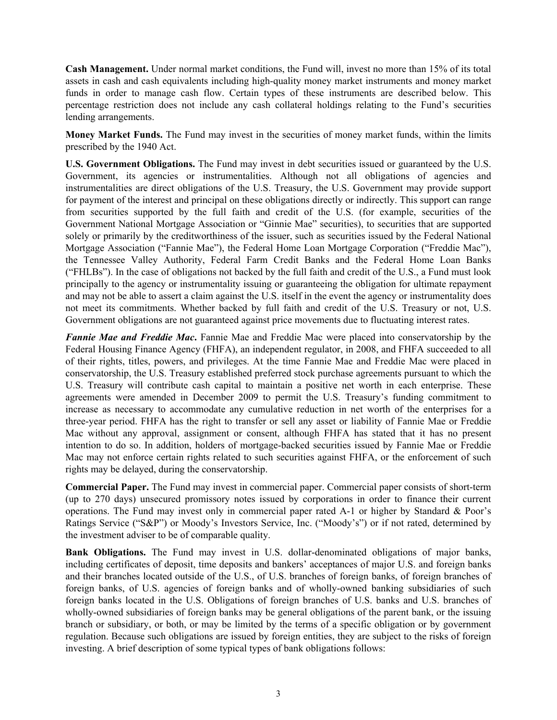**Cash Management.** Under normal market conditions, the Fund will, invest no more than 15% of its total assets in cash and cash equivalents including high-quality money market instruments and money market funds in order to manage cash flow. Certain types of these instruments are described below. This percentage restriction does not include any cash collateral holdings relating to the Fund's securities lending arrangements.

**Money Market Funds.** The Fund may invest in the securities of money market funds, within the limits prescribed by the 1940 Act.

**U.S. Government Obligations.** The Fund may invest in debt securities issued or guaranteed by the U.S. Government, its agencies or instrumentalities. Although not all obligations of agencies and instrumentalities are direct obligations of the U.S. Treasury, the U.S. Government may provide support for payment of the interest and principal on these obligations directly or indirectly. This support can range from securities supported by the full faith and credit of the U.S. (for example, securities of the Government National Mortgage Association or "Ginnie Mae" securities), to securities that are supported solely or primarily by the creditworthiness of the issuer, such as securities issued by the Federal National Mortgage Association ("Fannie Mae"), the Federal Home Loan Mortgage Corporation ("Freddie Mac"), the Tennessee Valley Authority, Federal Farm Credit Banks and the Federal Home Loan Banks ("FHLBs"). In the case of obligations not backed by the full faith and credit of the U.S., a Fund must look principally to the agency or instrumentality issuing or guaranteeing the obligation for ultimate repayment and may not be able to assert a claim against the U.S. itself in the event the agency or instrumentality does not meet its commitments. Whether backed by full faith and credit of the U.S. Treasury or not, U.S. Government obligations are not guaranteed against price movements due to fluctuating interest rates.

*Fannie Mae and Freddie Mac***.** Fannie Mae and Freddie Mac were placed into conservatorship by the Federal Housing Finance Agency (FHFA), an independent regulator, in 2008, and FHFA succeeded to all of their rights, titles, powers, and privileges. At the time Fannie Mae and Freddie Mac were placed in conservatorship, the U.S. Treasury established preferred stock purchase agreements pursuant to which the U.S. Treasury will contribute cash capital to maintain a positive net worth in each enterprise. These agreements were amended in December 2009 to permit the U.S. Treasury's funding commitment to increase as necessary to accommodate any cumulative reduction in net worth of the enterprises for a three-year period. FHFA has the right to transfer or sell any asset or liability of Fannie Mae or Freddie Mac without any approval, assignment or consent, although FHFA has stated that it has no present intention to do so. In addition, holders of mortgage-backed securities issued by Fannie Mae or Freddie Mac may not enforce certain rights related to such securities against FHFA, or the enforcement of such rights may be delayed, during the conservatorship.

**Commercial Paper.** The Fund may invest in commercial paper. Commercial paper consists of short-term (up to 270 days) unsecured promissory notes issued by corporations in order to finance their current operations. The Fund may invest only in commercial paper rated A-1 or higher by Standard & Poor's Ratings Service ("S&P") or Moody's Investors Service, Inc. ("Moody's") or if not rated, determined by the investment adviser to be of comparable quality.

**Bank Obligations.** The Fund may invest in U.S. dollar-denominated obligations of major banks, including certificates of deposit, time deposits and bankers' acceptances of major U.S. and foreign banks and their branches located outside of the U.S., of U.S. branches of foreign banks, of foreign branches of foreign banks, of U.S. agencies of foreign banks and of wholly-owned banking subsidiaries of such foreign banks located in the U.S. Obligations of foreign branches of U.S. banks and U.S. branches of wholly-owned subsidiaries of foreign banks may be general obligations of the parent bank, or the issuing branch or subsidiary, or both, or may be limited by the terms of a specific obligation or by government regulation. Because such obligations are issued by foreign entities, they are subject to the risks of foreign investing. A brief description of some typical types of bank obligations follows: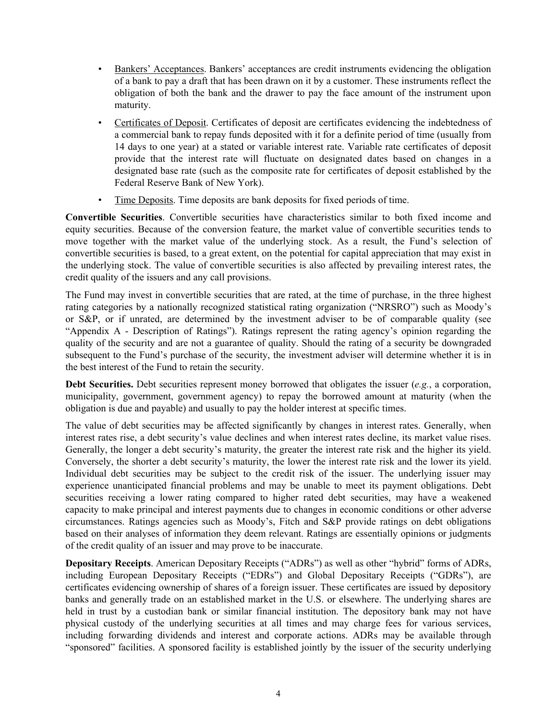- Bankers' Acceptances. Bankers' acceptances are credit instruments evidencing the obligation of a bank to pay a draft that has been drawn on it by a customer. These instruments reflect the obligation of both the bank and the drawer to pay the face amount of the instrument upon maturity.
- Certificates of Deposit. Certificates of deposit are certificates evidencing the indebtedness of a commercial bank to repay funds deposited with it for a definite period of time (usually from 14 days to one year) at a stated or variable interest rate. Variable rate certificates of deposit provide that the interest rate will fluctuate on designated dates based on changes in a designated base rate (such as the composite rate for certificates of deposit established by the Federal Reserve Bank of New York).
- Time Deposits. Time deposits are bank deposits for fixed periods of time.

**Convertible Securities**. Convertible securities have characteristics similar to both fixed income and equity securities. Because of the conversion feature, the market value of convertible securities tends to move together with the market value of the underlying stock. As a result, the Fund's selection of convertible securities is based, to a great extent, on the potential for capital appreciation that may exist in the underlying stock. The value of convertible securities is also affected by prevailing interest rates, the credit quality of the issuers and any call provisions.

The Fund may invest in convertible securities that are rated, at the time of purchase, in the three highest rating categories by a nationally recognized statistical rating organization ("NRSRO") such as Moody's or S&P, or if unrated, are determined by the investment adviser to be of comparable quality (see "Appendix A - Description of Ratings"). Ratings represent the rating agency's opinion regarding the quality of the security and are not a guarantee of quality. Should the rating of a security be downgraded subsequent to the Fund's purchase of the security, the investment adviser will determine whether it is in the best interest of the Fund to retain the security.

**Debt Securities.** Debt securities represent money borrowed that obligates the issuer (*e.g.*, a corporation, municipality, government, government agency) to repay the borrowed amount at maturity (when the obligation is due and payable) and usually to pay the holder interest at specific times.

The value of debt securities may be affected significantly by changes in interest rates. Generally, when interest rates rise, a debt security's value declines and when interest rates decline, its market value rises. Generally, the longer a debt security's maturity, the greater the interest rate risk and the higher its yield. Conversely, the shorter a debt security's maturity, the lower the interest rate risk and the lower its yield. Individual debt securities may be subject to the credit risk of the issuer. The underlying issuer may experience unanticipated financial problems and may be unable to meet its payment obligations. Debt securities receiving a lower rating compared to higher rated debt securities, may have a weakened capacity to make principal and interest payments due to changes in economic conditions or other adverse circumstances. Ratings agencies such as Moody's, Fitch and S&P provide ratings on debt obligations based on their analyses of information they deem relevant. Ratings are essentially opinions or judgments of the credit quality of an issuer and may prove to be inaccurate.

**Depositary Receipts**. American Depositary Receipts ("ADRs") as well as other "hybrid" forms of ADRs, including European Depositary Receipts ("EDRs") and Global Depositary Receipts ("GDRs"), are certificates evidencing ownership of shares of a foreign issuer. These certificates are issued by depository banks and generally trade on an established market in the U.S. or elsewhere. The underlying shares are held in trust by a custodian bank or similar financial institution. The depository bank may not have physical custody of the underlying securities at all times and may charge fees for various services, including forwarding dividends and interest and corporate actions. ADRs may be available through "sponsored" facilities. A sponsored facility is established jointly by the issuer of the security underlying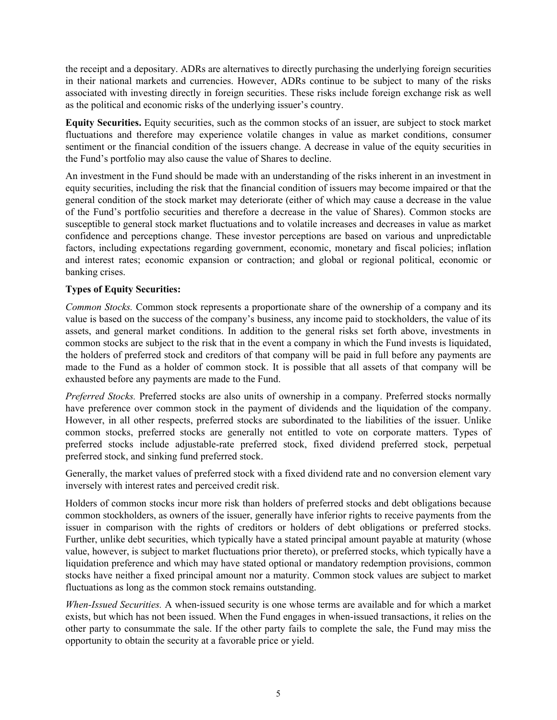the receipt and a depositary. ADRs are alternatives to directly purchasing the underlying foreign securities in their national markets and currencies. However, ADRs continue to be subject to many of the risks associated with investing directly in foreign securities. These risks include foreign exchange risk as well as the political and economic risks of the underlying issuer's country.

**Equity Securities.** Equity securities, such as the common stocks of an issuer, are subject to stock market fluctuations and therefore may experience volatile changes in value as market conditions, consumer sentiment or the financial condition of the issuers change. A decrease in value of the equity securities in the Fund's portfolio may also cause the value of Shares to decline.

An investment in the Fund should be made with an understanding of the risks inherent in an investment in equity securities, including the risk that the financial condition of issuers may become impaired or that the general condition of the stock market may deteriorate (either of which may cause a decrease in the value of the Fund's portfolio securities and therefore a decrease in the value of Shares). Common stocks are susceptible to general stock market fluctuations and to volatile increases and decreases in value as market confidence and perceptions change. These investor perceptions are based on various and unpredictable factors, including expectations regarding government, economic, monetary and fiscal policies; inflation and interest rates; economic expansion or contraction; and global or regional political, economic or banking crises.

### **Types of Equity Securities:**

*Common Stocks.* Common stock represents a proportionate share of the ownership of a company and its value is based on the success of the company's business, any income paid to stockholders, the value of its assets, and general market conditions. In addition to the general risks set forth above, investments in common stocks are subject to the risk that in the event a company in which the Fund invests is liquidated, the holders of preferred stock and creditors of that company will be paid in full before any payments are made to the Fund as a holder of common stock. It is possible that all assets of that company will be exhausted before any payments are made to the Fund.

*Preferred Stocks.* Preferred stocks are also units of ownership in a company. Preferred stocks normally have preference over common stock in the payment of dividends and the liquidation of the company. However, in all other respects, preferred stocks are subordinated to the liabilities of the issuer. Unlike common stocks, preferred stocks are generally not entitled to vote on corporate matters. Types of preferred stocks include adjustable-rate preferred stock, fixed dividend preferred stock, perpetual preferred stock, and sinking fund preferred stock.

Generally, the market values of preferred stock with a fixed dividend rate and no conversion element vary inversely with interest rates and perceived credit risk.

Holders of common stocks incur more risk than holders of preferred stocks and debt obligations because common stockholders, as owners of the issuer, generally have inferior rights to receive payments from the issuer in comparison with the rights of creditors or holders of debt obligations or preferred stocks. Further, unlike debt securities, which typically have a stated principal amount payable at maturity (whose value, however, is subject to market fluctuations prior thereto), or preferred stocks, which typically have a liquidation preference and which may have stated optional or mandatory redemption provisions, common stocks have neither a fixed principal amount nor a maturity. Common stock values are subject to market fluctuations as long as the common stock remains outstanding.

*When-Issued Securities.* A when-issued security is one whose terms are available and for which a market exists, but which has not been issued. When the Fund engages in when-issued transactions, it relies on the other party to consummate the sale. If the other party fails to complete the sale, the Fund may miss the opportunity to obtain the security at a favorable price or yield.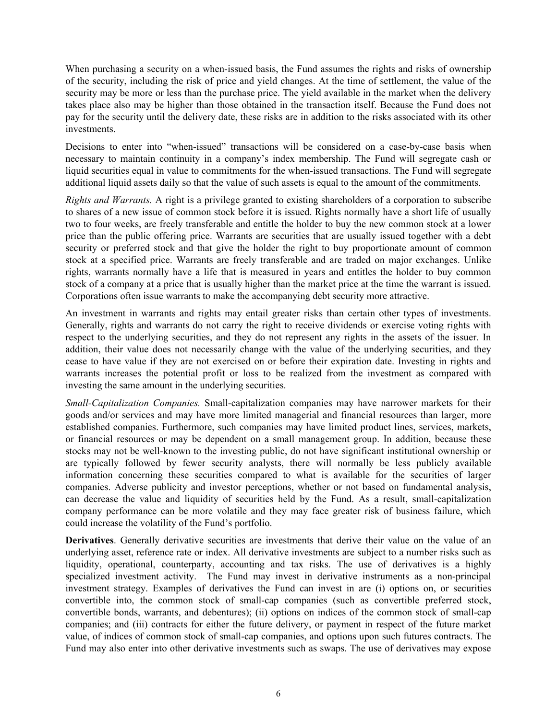When purchasing a security on a when-issued basis, the Fund assumes the rights and risks of ownership of the security, including the risk of price and yield changes. At the time of settlement, the value of the security may be more or less than the purchase price. The yield available in the market when the delivery takes place also may be higher than those obtained in the transaction itself. Because the Fund does not pay for the security until the delivery date, these risks are in addition to the risks associated with its other investments.

Decisions to enter into "when-issued" transactions will be considered on a case-by-case basis when necessary to maintain continuity in a company's index membership. The Fund will segregate cash or liquid securities equal in value to commitments for the when-issued transactions. The Fund will segregate additional liquid assets daily so that the value of such assets is equal to the amount of the commitments.

*Rights and Warrants.* A right is a privilege granted to existing shareholders of a corporation to subscribe to shares of a new issue of common stock before it is issued. Rights normally have a short life of usually two to four weeks, are freely transferable and entitle the holder to buy the new common stock at a lower price than the public offering price. Warrants are securities that are usually issued together with a debt security or preferred stock and that give the holder the right to buy proportionate amount of common stock at a specified price. Warrants are freely transferable and are traded on major exchanges. Unlike rights, warrants normally have a life that is measured in years and entitles the holder to buy common stock of a company at a price that is usually higher than the market price at the time the warrant is issued. Corporations often issue warrants to make the accompanying debt security more attractive.

An investment in warrants and rights may entail greater risks than certain other types of investments. Generally, rights and warrants do not carry the right to receive dividends or exercise voting rights with respect to the underlying securities, and they do not represent any rights in the assets of the issuer. In addition, their value does not necessarily change with the value of the underlying securities, and they cease to have value if they are not exercised on or before their expiration date. Investing in rights and warrants increases the potential profit or loss to be realized from the investment as compared with investing the same amount in the underlying securities.

*Small-Capitalization Companies.* Small-capitalization companies may have narrower markets for their goods and/or services and may have more limited managerial and financial resources than larger, more established companies. Furthermore, such companies may have limited product lines, services, markets, or financial resources or may be dependent on a small management group. In addition, because these stocks may not be well-known to the investing public, do not have significant institutional ownership or are typically followed by fewer security analysts, there will normally be less publicly available information concerning these securities compared to what is available for the securities of larger companies. Adverse publicity and investor perceptions, whether or not based on fundamental analysis, can decrease the value and liquidity of securities held by the Fund. As a result, small-capitalization company performance can be more volatile and they may face greater risk of business failure, which could increase the volatility of the Fund's portfolio.

**Derivatives**. Generally derivative securities are investments that derive their value on the value of an underlying asset, reference rate or index. All derivative investments are subject to a number risks such as liquidity, operational, counterparty, accounting and tax risks. The use of derivatives is a highly specialized investment activity. The Fund may invest in derivative instruments as a non-principal investment strategy. Examples of derivatives the Fund can invest in are (i) options on, or securities convertible into, the common stock of small-cap companies (such as convertible preferred stock, convertible bonds, warrants, and debentures); (ii) options on indices of the common stock of small-cap companies; and (iii) contracts for either the future delivery, or payment in respect of the future market value, of indices of common stock of small-cap companies, and options upon such futures contracts. The Fund may also enter into other derivative investments such as swaps. The use of derivatives may expose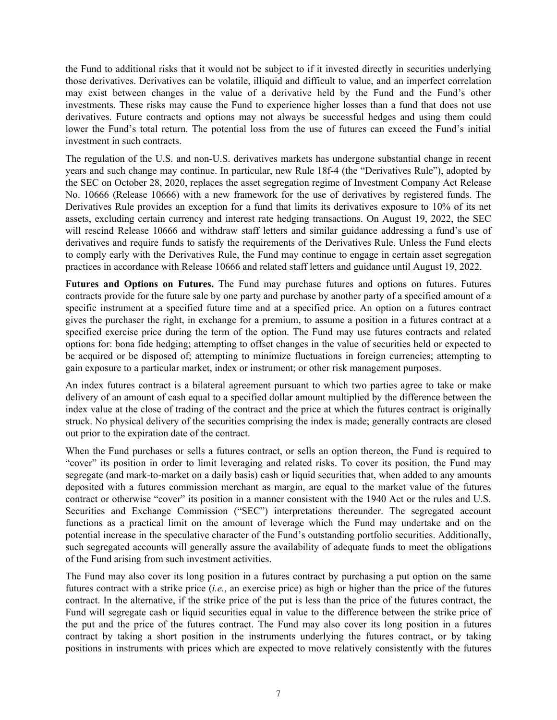the Fund to additional risks that it would not be subject to if it invested directly in securities underlying those derivatives. Derivatives can be volatile, illiquid and difficult to value, and an imperfect correlation may exist between changes in the value of a derivative held by the Fund and the Fund's other investments. These risks may cause the Fund to experience higher losses than a fund that does not use derivatives. Future contracts and options may not always be successful hedges and using them could lower the Fund's total return. The potential loss from the use of futures can exceed the Fund's initial investment in such contracts.

The regulation of the U.S. and non-U.S. derivatives markets has undergone substantial change in recent years and such change may continue. In particular, new Rule 18f-4 (the "Derivatives Rule"), adopted by the SEC on October 28, 2020, replaces the asset segregation regime of Investment Company Act Release No. 10666 (Release 10666) with a new framework for the use of derivatives by registered funds. The Derivatives Rule provides an exception for a fund that limits its derivatives exposure to 10% of its net assets, excluding certain currency and interest rate hedging transactions. On August 19, 2022, the SEC will rescind Release 10666 and withdraw staff letters and similar guidance addressing a fund's use of derivatives and require funds to satisfy the requirements of the Derivatives Rule. Unless the Fund elects to comply early with the Derivatives Rule, the Fund may continue to engage in certain asset segregation practices in accordance with Release 10666 and related staff letters and guidance until August 19, 2022.

**Futures and Options on Futures.** The Fund may purchase futures and options on futures. Futures contracts provide for the future sale by one party and purchase by another party of a specified amount of a specific instrument at a specified future time and at a specified price. An option on a futures contract gives the purchaser the right, in exchange for a premium, to assume a position in a futures contract at a specified exercise price during the term of the option. The Fund may use futures contracts and related options for: bona fide hedging; attempting to offset changes in the value of securities held or expected to be acquired or be disposed of; attempting to minimize fluctuations in foreign currencies; attempting to gain exposure to a particular market, index or instrument; or other risk management purposes.

An index futures contract is a bilateral agreement pursuant to which two parties agree to take or make delivery of an amount of cash equal to a specified dollar amount multiplied by the difference between the index value at the close of trading of the contract and the price at which the futures contract is originally struck. No physical delivery of the securities comprising the index is made; generally contracts are closed out prior to the expiration date of the contract.

When the Fund purchases or sells a futures contract, or sells an option thereon, the Fund is required to "cover" its position in order to limit leveraging and related risks. To cover its position, the Fund may segregate (and mark-to-market on a daily basis) cash or liquid securities that, when added to any amounts deposited with a futures commission merchant as margin, are equal to the market value of the futures contract or otherwise "cover" its position in a manner consistent with the 1940 Act or the rules and U.S. Securities and Exchange Commission ("SEC") interpretations thereunder. The segregated account functions as a practical limit on the amount of leverage which the Fund may undertake and on the potential increase in the speculative character of the Fund's outstanding portfolio securities. Additionally, such segregated accounts will generally assure the availability of adequate funds to meet the obligations of the Fund arising from such investment activities.

The Fund may also cover its long position in a futures contract by purchasing a put option on the same futures contract with a strike price (*i.e.*, an exercise price) as high or higher than the price of the futures contract. In the alternative, if the strike price of the put is less than the price of the futures contract, the Fund will segregate cash or liquid securities equal in value to the difference between the strike price of the put and the price of the futures contract. The Fund may also cover its long position in a futures contract by taking a short position in the instruments underlying the futures contract, or by taking positions in instruments with prices which are expected to move relatively consistently with the futures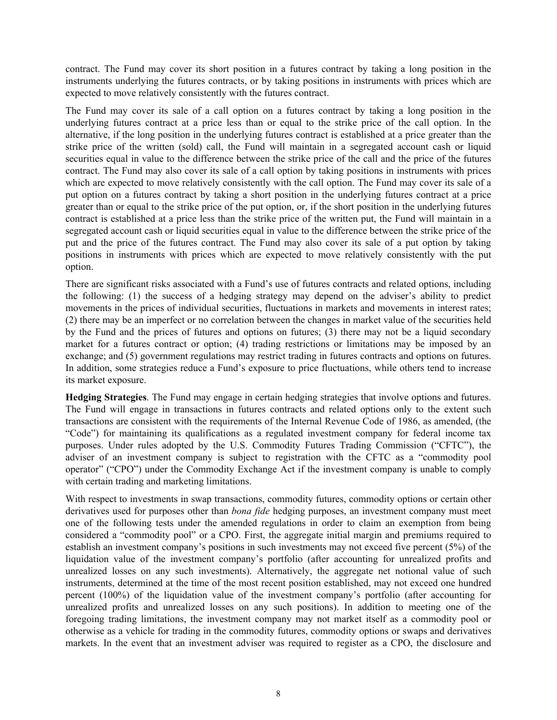contract. The Fund may cover its short position in a futures contract by taking a long position in the instruments underlying the futures contracts, or by taking positions in instruments with prices which are expected to move relatively consistently with the futures contract.

The Fund may cover its sale of a call option on a futures contract by taking a long position in the underlying futures contract at a price less than or equal to the strike price of the call option. In the alternative, if the long position in the underlying futures contract is established at a price greater than the strike price of the written (sold) call, the Fund will maintain in a segregated account cash or liquid securities equal in value to the difference between the strike price of the call and the price of the futures contract. The Fund may also cover its sale of a call option by taking positions in instruments with prices which are expected to move relatively consistently with the call option. The Fund may cover its sale of a put option on a futures contract by taking a short position in the underlying futures contract at a price greater than or equal to the strike price of the put option, or, if the short position in the underlying futures contract is established at a price less than the strike price of the written put, the Fund will maintain in a segregated account cash or liquid securities equal in value to the difference between the strike price of the put and the price of the futures contract. The Fund may also cover its sale of a put option by taking positions in instruments with prices which are expected to move relatively consistently with the put option.

There are significant risks associated with a Fund's use of futures contracts and related options, including the following: (1) the success of a hedging strategy may depend on the adviser's ability to predict movements in the prices of individual securities, fluctuations in markets and movements in interest rates; (2) there may be an imperfect or no correlation between the changes in market value of the securities held by the Fund and the prices of futures and options on futures; (3) there may not be a liquid secondary market for a futures contract or option; (4) trading restrictions or limitations may be imposed by an exchange; and (5) government regulations may restrict trading in futures contracts and options on futures. In addition, some strategies reduce a Fund's exposure to price fluctuations, while others tend to increase its market exposure.

**Hedging Strategies**. The Fund may engage in certain hedging strategies that involve options and futures. The Fund will engage in transactions in futures contracts and related options only to the extent such transactions are consistent with the requirements of the Internal Revenue Code of 1986, as amended, (the "Code") for maintaining its qualifications as a regulated investment company for federal income tax purposes. Under rules adopted by the U.S. Commodity Futures Trading Commission ("CFTC"), the adviser of an investment company is subject to registration with the CFTC as a "commodity pool operator" ("CPO") under the Commodity Exchange Act if the investment company is unable to comply with certain trading and marketing limitations.

With respect to investments in swap transactions, commodity futures, commodity options or certain other derivatives used for purposes other than *bona fide* hedging purposes, an investment company must meet one of the following tests under the amended regulations in order to claim an exemption from being considered a "commodity pool" or a CPO. First, the aggregate initial margin and premiums required to establish an investment company's positions in such investments may not exceed five percent (5%) of the liquidation value of the investment company's portfolio (after accounting for unrealized profits and unrealized losses on any such investments). Alternatively, the aggregate net notional value of such instruments, determined at the time of the most recent position established, may not exceed one hundred percent (100%) of the liquidation value of the investment company's portfolio (after accounting for unrealized profits and unrealized losses on any such positions). In addition to meeting one of the foregoing trading limitations, the investment company may not market itself as a commodity pool or otherwise as a vehicle for trading in the commodity futures, commodity options or swaps and derivatives markets. In the event that an investment adviser was required to register as a CPO, the disclosure and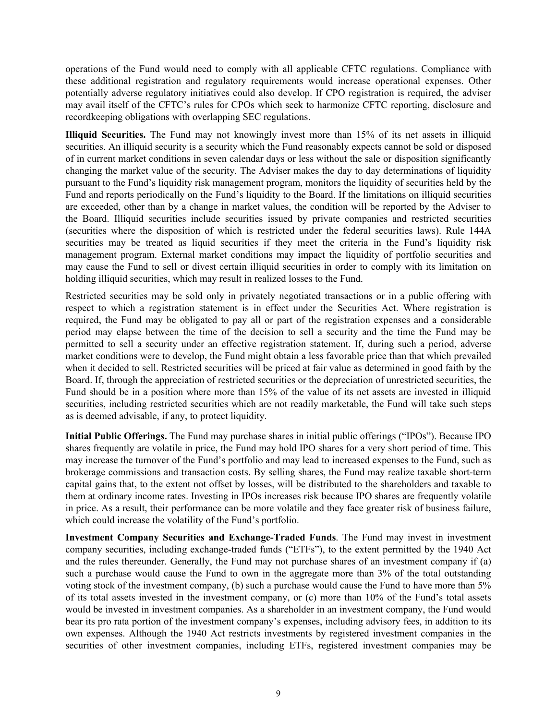operations of the Fund would need to comply with all applicable CFTC regulations. Compliance with these additional registration and regulatory requirements would increase operational expenses. Other potentially adverse regulatory initiatives could also develop. If CPO registration is required, the adviser may avail itself of the CFTC's rules for CPOs which seek to harmonize CFTC reporting, disclosure and recordkeeping obligations with overlapping SEC regulations.

**Illiquid Securities.** The Fund may not knowingly invest more than 15% of its net assets in illiquid securities. An illiquid security is a security which the Fund reasonably expects cannot be sold or disposed of in current market conditions in seven calendar days or less without the sale or disposition significantly changing the market value of the security. The Adviser makes the day to day determinations of liquidity pursuant to the Fund's liquidity risk management program, monitors the liquidity of securities held by the Fund and reports periodically on the Fund's liquidity to the Board. If the limitations on illiquid securities are exceeded, other than by a change in market values, the condition will be reported by the Adviser to the Board. Illiquid securities include securities issued by private companies and restricted securities (securities where the disposition of which is restricted under the federal securities laws). Rule 144A securities may be treated as liquid securities if they meet the criteria in the Fund's liquidity risk management program. External market conditions may impact the liquidity of portfolio securities and may cause the Fund to sell or divest certain illiquid securities in order to comply with its limitation on holding illiquid securities, which may result in realized losses to the Fund.

Restricted securities may be sold only in privately negotiated transactions or in a public offering with respect to which a registration statement is in effect under the Securities Act. Where registration is required, the Fund may be obligated to pay all or part of the registration expenses and a considerable period may elapse between the time of the decision to sell a security and the time the Fund may be permitted to sell a security under an effective registration statement. If, during such a period, adverse market conditions were to develop, the Fund might obtain a less favorable price than that which prevailed when it decided to sell. Restricted securities will be priced at fair value as determined in good faith by the Board. If, through the appreciation of restricted securities or the depreciation of unrestricted securities, the Fund should be in a position where more than 15% of the value of its net assets are invested in illiquid securities, including restricted securities which are not readily marketable, the Fund will take such steps as is deemed advisable, if any, to protect liquidity.

**Initial Public Offerings.** The Fund may purchase shares in initial public offerings ("IPOs"). Because IPO shares frequently are volatile in price, the Fund may hold IPO shares for a very short period of time. This may increase the turnover of the Fund's portfolio and may lead to increased expenses to the Fund, such as brokerage commissions and transaction costs. By selling shares, the Fund may realize taxable short-term capital gains that, to the extent not offset by losses, will be distributed to the shareholders and taxable to them at ordinary income rates. Investing in IPOs increases risk because IPO shares are frequently volatile in price. As a result, their performance can be more volatile and they face greater risk of business failure, which could increase the volatility of the Fund's portfolio.

**Investment Company Securities and Exchange-Traded Funds**. The Fund may invest in investment company securities, including exchange-traded funds ("ETFs"), to the extent permitted by the 1940 Act and the rules thereunder. Generally, the Fund may not purchase shares of an investment company if (a) such a purchase would cause the Fund to own in the aggregate more than 3% of the total outstanding voting stock of the investment company, (b) such a purchase would cause the Fund to have more than 5% of its total assets invested in the investment company, or (c) more than 10% of the Fund's total assets would be invested in investment companies. As a shareholder in an investment company, the Fund would bear its pro rata portion of the investment company's expenses, including advisory fees, in addition to its own expenses. Although the 1940 Act restricts investments by registered investment companies in the securities of other investment companies, including ETFs, registered investment companies may be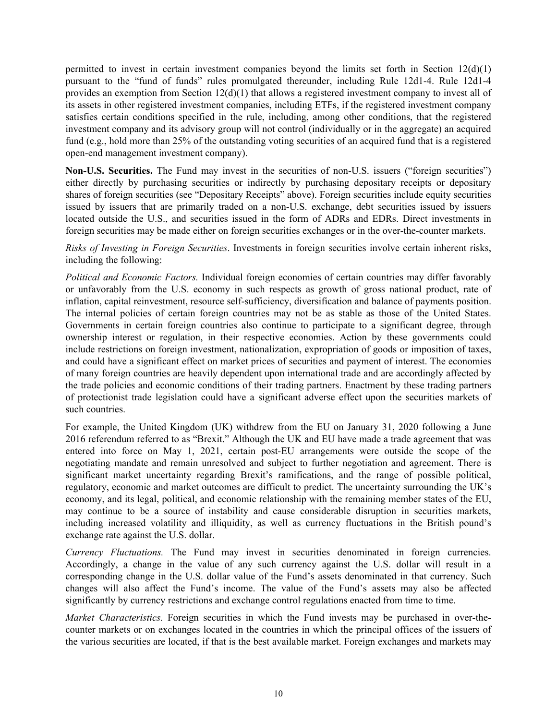permitted to invest in certain investment companies beyond the limits set forth in Section  $12(d)(1)$ pursuant to the "fund of funds" rules promulgated thereunder, including Rule 12d1-4. Rule 12d1-4 provides an exemption from Section  $12(d)(1)$  that allows a registered investment company to invest all of its assets in other registered investment companies, including ETFs, if the registered investment company satisfies certain conditions specified in the rule, including, among other conditions, that the registered investment company and its advisory group will not control (individually or in the aggregate) an acquired fund (e.g., hold more than 25% of the outstanding voting securities of an acquired fund that is a registered open-end management investment company).

**Non-U.S. Securities.** The Fund may invest in the securities of non-U.S. issuers ("foreign securities") either directly by purchasing securities or indirectly by purchasing depositary receipts or depositary shares of foreign securities (see "Depositary Receipts" above). Foreign securities include equity securities issued by issuers that are primarily traded on a non-U.S. exchange, debt securities issued by issuers located outside the U.S., and securities issued in the form of ADRs and EDRs. Direct investments in foreign securities may be made either on foreign securities exchanges or in the over-the-counter markets.

*Risks of Investing in Foreign Securities*. Investments in foreign securities involve certain inherent risks, including the following:

*Political and Economic Factors.* Individual foreign economies of certain countries may differ favorably or unfavorably from the U.S. economy in such respects as growth of gross national product, rate of inflation, capital reinvestment, resource self-sufficiency, diversification and balance of payments position. The internal policies of certain foreign countries may not be as stable as those of the United States. Governments in certain foreign countries also continue to participate to a significant degree, through ownership interest or regulation, in their respective economies. Action by these governments could include restrictions on foreign investment, nationalization, expropriation of goods or imposition of taxes, and could have a significant effect on market prices of securities and payment of interest. The economies of many foreign countries are heavily dependent upon international trade and are accordingly affected by the trade policies and economic conditions of their trading partners. Enactment by these trading partners of protectionist trade legislation could have a significant adverse effect upon the securities markets of such countries.

For example, the United Kingdom (UK) withdrew from the EU on January 31, 2020 following a June 2016 referendum referred to as "Brexit." Although the UK and EU have made a trade agreement that was entered into force on May 1, 2021, certain post-EU arrangements were outside the scope of the negotiating mandate and remain unresolved and subject to further negotiation and agreement. There is significant market uncertainty regarding Brexit's ramifications, and the range of possible political, regulatory, economic and market outcomes are difficult to predict. The uncertainty surrounding the UK's economy, and its legal, political, and economic relationship with the remaining member states of the EU, may continue to be a source of instability and cause considerable disruption in securities markets, including increased volatility and illiquidity, as well as currency fluctuations in the British pound's exchange rate against the U.S. dollar.

*Currency Fluctuations.* The Fund may invest in securities denominated in foreign currencies. Accordingly, a change in the value of any such currency against the U.S. dollar will result in a corresponding change in the U.S. dollar value of the Fund's assets denominated in that currency. Such changes will also affect the Fund's income. The value of the Fund's assets may also be affected significantly by currency restrictions and exchange control regulations enacted from time to time.

*Market Characteristics.* Foreign securities in which the Fund invests may be purchased in over-thecounter markets or on exchanges located in the countries in which the principal offices of the issuers of the various securities are located, if that is the best available market. Foreign exchanges and markets may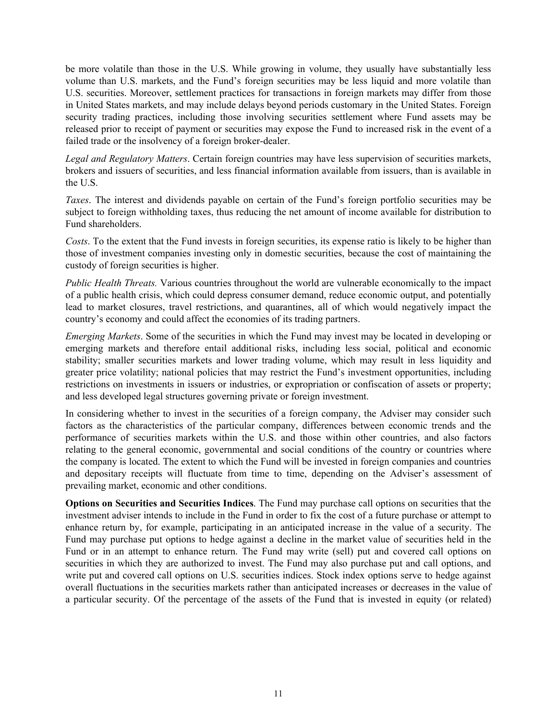be more volatile than those in the U.S. While growing in volume, they usually have substantially less volume than U.S. markets, and the Fund's foreign securities may be less liquid and more volatile than U.S. securities. Moreover, settlement practices for transactions in foreign markets may differ from those in United States markets, and may include delays beyond periods customary in the United States. Foreign security trading practices, including those involving securities settlement where Fund assets may be released prior to receipt of payment or securities may expose the Fund to increased risk in the event of a failed trade or the insolvency of a foreign broker-dealer.

*Legal and Regulatory Matters*. Certain foreign countries may have less supervision of securities markets, brokers and issuers of securities, and less financial information available from issuers, than is available in the U.S.

*Taxes*. The interest and dividends payable on certain of the Fund's foreign portfolio securities may be subject to foreign withholding taxes, thus reducing the net amount of income available for distribution to Fund shareholders.

*Costs*. To the extent that the Fund invests in foreign securities, its expense ratio is likely to be higher than those of investment companies investing only in domestic securities, because the cost of maintaining the custody of foreign securities is higher.

*Public Health Threats.* Various countries throughout the world are vulnerable economically to the impact of a public health crisis, which could depress consumer demand, reduce economic output, and potentially lead to market closures, travel restrictions, and quarantines, all of which would negatively impact the country's economy and could affect the economies of its trading partners.

*Emerging Markets*. Some of the securities in which the Fund may invest may be located in developing or emerging markets and therefore entail additional risks, including less social, political and economic stability; smaller securities markets and lower trading volume, which may result in less liquidity and greater price volatility; national policies that may restrict the Fund's investment opportunities, including restrictions on investments in issuers or industries, or expropriation or confiscation of assets or property; and less developed legal structures governing private or foreign investment.

In considering whether to invest in the securities of a foreign company, the Adviser may consider such factors as the characteristics of the particular company, differences between economic trends and the performance of securities markets within the U.S. and those within other countries, and also factors relating to the general economic, governmental and social conditions of the country or countries where the company is located. The extent to which the Fund will be invested in foreign companies and countries and depositary receipts will fluctuate from time to time, depending on the Adviser's assessment of prevailing market, economic and other conditions.

**Options on Securities and Securities Indices**. The Fund may purchase call options on securities that the investment adviser intends to include in the Fund in order to fix the cost of a future purchase or attempt to enhance return by, for example, participating in an anticipated increase in the value of a security. The Fund may purchase put options to hedge against a decline in the market value of securities held in the Fund or in an attempt to enhance return. The Fund may write (sell) put and covered call options on securities in which they are authorized to invest. The Fund may also purchase put and call options, and write put and covered call options on U.S. securities indices. Stock index options serve to hedge against overall fluctuations in the securities markets rather than anticipated increases or decreases in the value of a particular security. Of the percentage of the assets of the Fund that is invested in equity (or related)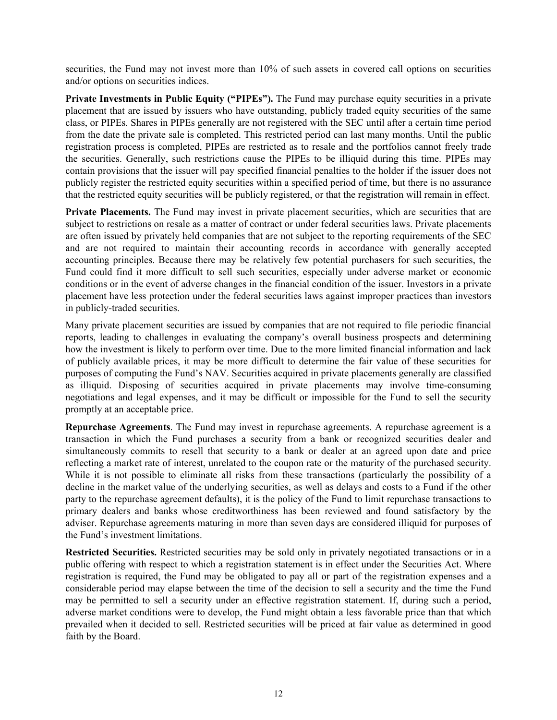securities, the Fund may not invest more than 10% of such assets in covered call options on securities and/or options on securities indices.

**Private Investments in Public Equity ("PIPEs").** The Fund may purchase equity securities in a private placement that are issued by issuers who have outstanding, publicly traded equity securities of the same class, or PIPEs. Shares in PIPEs generally are not registered with the SEC until after a certain time period from the date the private sale is completed. This restricted period can last many months. Until the public registration process is completed, PIPEs are restricted as to resale and the portfolios cannot freely trade the securities. Generally, such restrictions cause the PIPEs to be illiquid during this time. PIPEs may contain provisions that the issuer will pay specified financial penalties to the holder if the issuer does not publicly register the restricted equity securities within a specified period of time, but there is no assurance that the restricted equity securities will be publicly registered, or that the registration will remain in effect.

Private Placements. The Fund may invest in private placement securities, which are securities that are subject to restrictions on resale as a matter of contract or under federal securities laws. Private placements are often issued by privately held companies that are not subject to the reporting requirements of the SEC and are not required to maintain their accounting records in accordance with generally accepted accounting principles. Because there may be relatively few potential purchasers for such securities, the Fund could find it more difficult to sell such securities, especially under adverse market or economic conditions or in the event of adverse changes in the financial condition of the issuer. Investors in a private placement have less protection under the federal securities laws against improper practices than investors in publicly-traded securities.

Many private placement securities are issued by companies that are not required to file periodic financial reports, leading to challenges in evaluating the company's overall business prospects and determining how the investment is likely to perform over time. Due to the more limited financial information and lack of publicly available prices, it may be more difficult to determine the fair value of these securities for purposes of computing the Fund's NAV. Securities acquired in private placements generally are classified as illiquid. Disposing of securities acquired in private placements may involve time-consuming negotiations and legal expenses, and it may be difficult or impossible for the Fund to sell the security promptly at an acceptable price.

**Repurchase Agreements**. The Fund may invest in repurchase agreements. A repurchase agreement is a transaction in which the Fund purchases a security from a bank or recognized securities dealer and simultaneously commits to resell that security to a bank or dealer at an agreed upon date and price reflecting a market rate of interest, unrelated to the coupon rate or the maturity of the purchased security. While it is not possible to eliminate all risks from these transactions (particularly the possibility of a decline in the market value of the underlying securities, as well as delays and costs to a Fund if the other party to the repurchase agreement defaults), it is the policy of the Fund to limit repurchase transactions to primary dealers and banks whose creditworthiness has been reviewed and found satisfactory by the adviser. Repurchase agreements maturing in more than seven days are considered illiquid for purposes of the Fund's investment limitations.

**Restricted Securities.** Restricted securities may be sold only in privately negotiated transactions or in a public offering with respect to which a registration statement is in effect under the Securities Act. Where registration is required, the Fund may be obligated to pay all or part of the registration expenses and a considerable period may elapse between the time of the decision to sell a security and the time the Fund may be permitted to sell a security under an effective registration statement. If, during such a period, adverse market conditions were to develop, the Fund might obtain a less favorable price than that which prevailed when it decided to sell. Restricted securities will be priced at fair value as determined in good faith by the Board.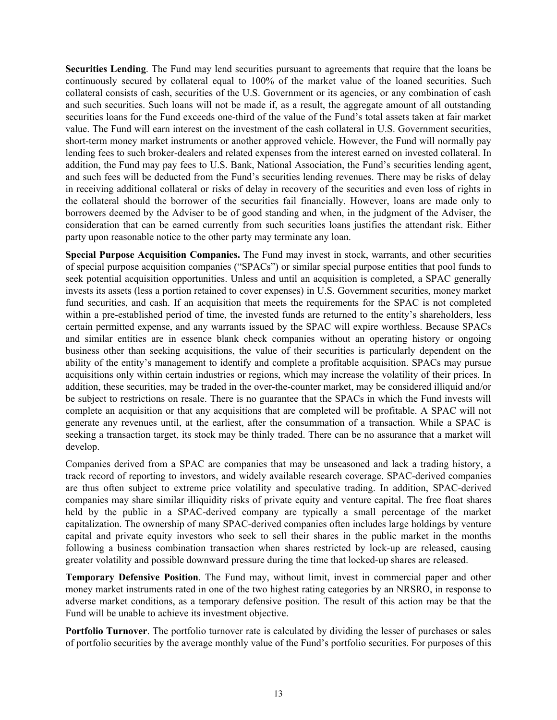**Securities Lending**. The Fund may lend securities pursuant to agreements that require that the loans be continuously secured by collateral equal to 100% of the market value of the loaned securities. Such collateral consists of cash, securities of the U.S. Government or its agencies, or any combination of cash and such securities. Such loans will not be made if, as a result, the aggregate amount of all outstanding securities loans for the Fund exceeds one-third of the value of the Fund's total assets taken at fair market value. The Fund will earn interest on the investment of the cash collateral in U.S. Government securities, short-term money market instruments or another approved vehicle. However, the Fund will normally pay lending fees to such broker-dealers and related expenses from the interest earned on invested collateral. In addition, the Fund may pay fees to U.S. Bank, National Association, the Fund's securities lending agent, and such fees will be deducted from the Fund's securities lending revenues. There may be risks of delay in receiving additional collateral or risks of delay in recovery of the securities and even loss of rights in the collateral should the borrower of the securities fail financially. However, loans are made only to borrowers deemed by the Adviser to be of good standing and when, in the judgment of the Adviser, the consideration that can be earned currently from such securities loans justifies the attendant risk. Either party upon reasonable notice to the other party may terminate any loan.

**Special Purpose Acquisition Companies.** The Fund may invest in stock, warrants, and other securities of special purpose acquisition companies ("SPACs") or similar special purpose entities that pool funds to seek potential acquisition opportunities. Unless and until an acquisition is completed, a SPAC generally invests its assets (less a portion retained to cover expenses) in U.S. Government securities, money market fund securities, and cash. If an acquisition that meets the requirements for the SPAC is not completed within a pre-established period of time, the invested funds are returned to the entity's shareholders, less certain permitted expense, and any warrants issued by the SPAC will expire worthless. Because SPACs and similar entities are in essence blank check companies without an operating history or ongoing business other than seeking acquisitions, the value of their securities is particularly dependent on the ability of the entity's management to identify and complete a profitable acquisition. SPACs may pursue acquisitions only within certain industries or regions, which may increase the volatility of their prices. In addition, these securities, may be traded in the over-the-counter market, may be considered illiquid and/or be subject to restrictions on resale. There is no guarantee that the SPACs in which the Fund invests will complete an acquisition or that any acquisitions that are completed will be profitable. A SPAC will not generate any revenues until, at the earliest, after the consummation of a transaction. While a SPAC is seeking a transaction target, its stock may be thinly traded. There can be no assurance that a market will develop.

Companies derived from a SPAC are companies that may be unseasoned and lack a trading history, a track record of reporting to investors, and widely available research coverage. SPAC-derived companies are thus often subject to extreme price volatility and speculative trading. In addition, SPAC-derived companies may share similar illiquidity risks of private equity and venture capital. The free float shares held by the public in a SPAC-derived company are typically a small percentage of the market capitalization. The ownership of many SPAC-derived companies often includes large holdings by venture capital and private equity investors who seek to sell their shares in the public market in the months following a business combination transaction when shares restricted by lock-up are released, causing greater volatility and possible downward pressure during the time that locked-up shares are released.

**Temporary Defensive Position**. The Fund may, without limit, invest in commercial paper and other money market instruments rated in one of the two highest rating categories by an NRSRO, in response to adverse market conditions, as a temporary defensive position. The result of this action may be that the Fund will be unable to achieve its investment objective.

**Portfolio Turnover**. The portfolio turnover rate is calculated by dividing the lesser of purchases or sales of portfolio securities by the average monthly value of the Fund's portfolio securities. For purposes of this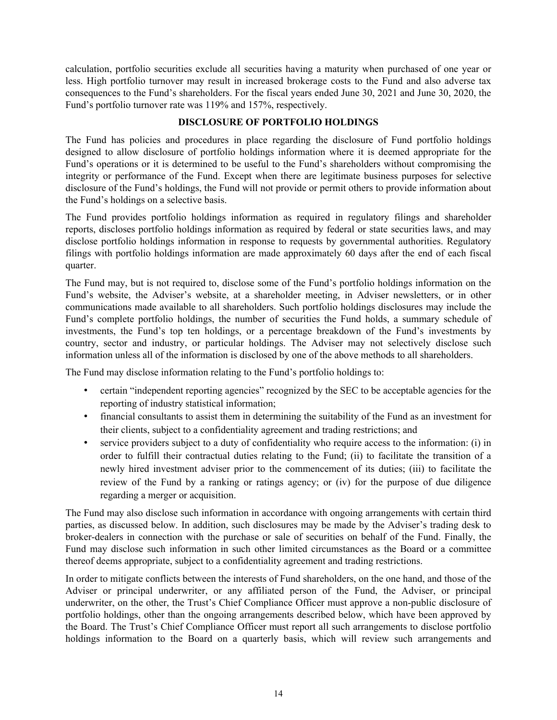<span id="page-15-0"></span>calculation, portfolio securities exclude all securities having a maturity when purchased of one year or less. High portfolio turnover may result in increased brokerage costs to the Fund and also adverse tax consequences to the Fund's shareholders. For the fiscal years ended June 30, 2021 and June 30, 2020, the Fund's portfolio turnover rate was 119% and 157%, respectively.

### **DISCLOSURE OF PORTFOLIO HOLDINGS**

The Fund has policies and procedures in place regarding the disclosure of Fund portfolio holdings designed to allow disclosure of portfolio holdings information where it is deemed appropriate for the Fund's operations or it is determined to be useful to the Fund's shareholders without compromising the integrity or performance of the Fund. Except when there are legitimate business purposes for selective disclosure of the Fund's holdings, the Fund will not provide or permit others to provide information about the Fund's holdings on a selective basis.

The Fund provides portfolio holdings information as required in regulatory filings and shareholder reports, discloses portfolio holdings information as required by federal or state securities laws, and may disclose portfolio holdings information in response to requests by governmental authorities. Regulatory filings with portfolio holdings information are made approximately 60 days after the end of each fiscal quarter.

The Fund may, but is not required to, disclose some of the Fund's portfolio holdings information on the Fund's website, the Adviser's website, at a shareholder meeting, in Adviser newsletters, or in other communications made available to all shareholders. Such portfolio holdings disclosures may include the Fund's complete portfolio holdings, the number of securities the Fund holds, a summary schedule of investments, the Fund's top ten holdings, or a percentage breakdown of the Fund's investments by country, sector and industry, or particular holdings. The Adviser may not selectively disclose such information unless all of the information is disclosed by one of the above methods to all shareholders.

The Fund may disclose information relating to the Fund's portfolio holdings to:

- certain "independent reporting agencies" recognized by the SEC to be acceptable agencies for the reporting of industry statistical information;
- financial consultants to assist them in determining the suitability of the Fund as an investment for their clients, subject to a confidentiality agreement and trading restrictions; and
- service providers subject to a duty of confidentiality who require access to the information: (i) in order to fulfill their contractual duties relating to the Fund; (ii) to facilitate the transition of a newly hired investment adviser prior to the commencement of its duties; (iii) to facilitate the review of the Fund by a ranking or ratings agency; or (iv) for the purpose of due diligence regarding a merger or acquisition.

The Fund may also disclose such information in accordance with ongoing arrangements with certain third parties, as discussed below. In addition, such disclosures may be made by the Adviser's trading desk to broker-dealers in connection with the purchase or sale of securities on behalf of the Fund. Finally, the Fund may disclose such information in such other limited circumstances as the Board or a committee thereof deems appropriate, subject to a confidentiality agreement and trading restrictions.

In order to mitigate conflicts between the interests of Fund shareholders, on the one hand, and those of the Adviser or principal underwriter, or any affiliated person of the Fund, the Adviser, or principal underwriter, on the other, the Trust's Chief Compliance Officer must approve a non-public disclosure of portfolio holdings, other than the ongoing arrangements described below, which have been approved by the Board. The Trust's Chief Compliance Officer must report all such arrangements to disclose portfolio holdings information to the Board on a quarterly basis, which will review such arrangements and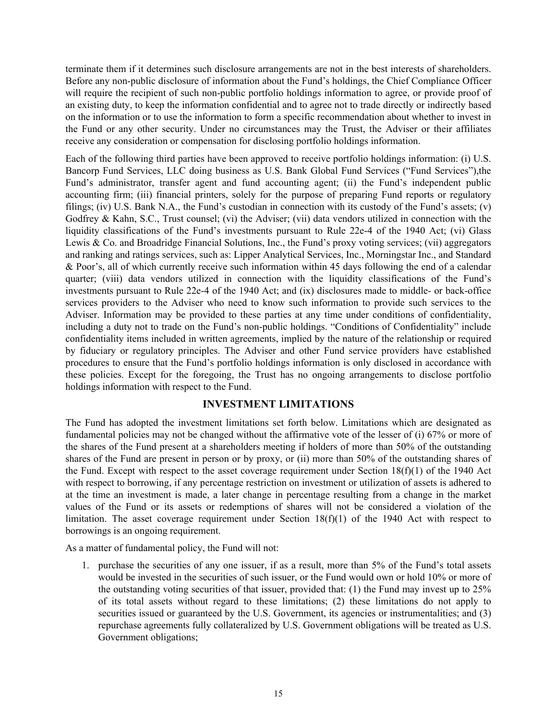<span id="page-16-0"></span>terminate them if it determines such disclosure arrangements are not in the best interests of shareholders. Before any non-public disclosure of information about the Fund's holdings, the Chief Compliance Officer will require the recipient of such non-public portfolio holdings information to agree, or provide proof of an existing duty, to keep the information confidential and to agree not to trade directly or indirectly based on the information or to use the information to form a specific recommendation about whether to invest in the Fund or any other security. Under no circumstances may the Trust, the Adviser or their affiliates receive any consideration or compensation for disclosing portfolio holdings information.

Each of the following third parties have been approved to receive portfolio holdings information: (i) U.S. Bancorp Fund Services, LLC doing business as U.S. Bank Global Fund Services ("Fund Services"),the Fund's administrator, transfer agent and fund accounting agent; (ii) the Fund's independent public accounting firm; (iii) financial printers, solely for the purpose of preparing Fund reports or regulatory filings; (iv) U.S. Bank N.A., the Fund's custodian in connection with its custody of the Fund's assets; (v) Godfrey & Kahn, S.C., Trust counsel; (vi) the Adviser; (vii) data vendors utilized in connection with the liquidity classifications of the Fund's investments pursuant to Rule 22e-4 of the 1940 Act; (vi) Glass Lewis & Co. and Broadridge Financial Solutions, Inc., the Fund's proxy voting services; (vii) aggregators and ranking and ratings services, such as: Lipper Analytical Services, Inc., Morningstar Inc., and Standard & Poor's, all of which currently receive such information within 45 days following the end of a calendar quarter; (viii) data vendors utilized in connection with the liquidity classifications of the Fund's investments pursuant to Rule 22e-4 of the 1940 Act; and (ix) disclosures made to middle- or back-office services providers to the Adviser who need to know such information to provide such services to the Adviser. Information may be provided to these parties at any time under conditions of confidentiality, including a duty not to trade on the Fund's non-public holdings. "Conditions of Confidentiality" include confidentiality items included in written agreements, implied by the nature of the relationship or required by fiduciary or regulatory principles. The Adviser and other Fund service providers have established procedures to ensure that the Fund's portfolio holdings information is only disclosed in accordance with these policies. Except for the foregoing, the Trust has no ongoing arrangements to disclose portfolio holdings information with respect to the Fund.

### **INVESTMENT LIMITATIONS**

The Fund has adopted the investment limitations set forth below. Limitations which are designated as fundamental policies may not be changed without the affirmative vote of the lesser of (i) 67% or more of the shares of the Fund present at a shareholders meeting if holders of more than 50% of the outstanding shares of the Fund are present in person or by proxy, or (ii) more than 50% of the outstanding shares of the Fund. Except with respect to the asset coverage requirement under Section 18(f)(1) of the 1940 Act with respect to borrowing, if any percentage restriction on investment or utilization of assets is adhered to at the time an investment is made, a later change in percentage resulting from a change in the market values of the Fund or its assets or redemptions of shares will not be considered a violation of the limitation. The asset coverage requirement under Section 18(f)(1) of the 1940 Act with respect to borrowings is an ongoing requirement.

As a matter of fundamental policy, the Fund will not:

1. purchase the securities of any one issuer, if as a result, more than 5% of the Fund's total assets would be invested in the securities of such issuer, or the Fund would own or hold 10% or more of the outstanding voting securities of that issuer, provided that: (1) the Fund may invest up to 25% of its total assets without regard to these limitations; (2) these limitations do not apply to securities issued or guaranteed by the U.S. Government, its agencies or instrumentalities; and (3) repurchase agreements fully collateralized by U.S. Government obligations will be treated as U.S. Government obligations;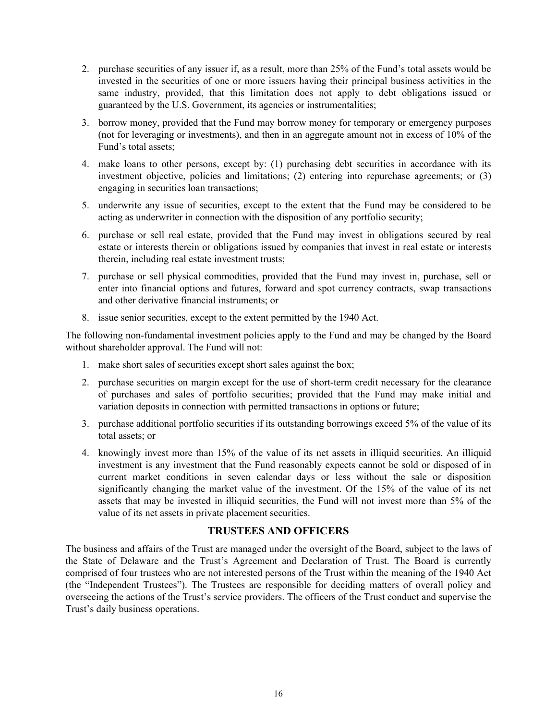- <span id="page-17-0"></span>2. purchase securities of any issuer if, as a result, more than 25% of the Fund's total assets would be invested in the securities of one or more issuers having their principal business activities in the same industry, provided, that this limitation does not apply to debt obligations issued or guaranteed by the U.S. Government, its agencies or instrumentalities;
- 3. borrow money, provided that the Fund may borrow money for temporary or emergency purposes (not for leveraging or investments), and then in an aggregate amount not in excess of 10% of the Fund's total assets;
- 4. make loans to other persons, except by: (1) purchasing debt securities in accordance with its investment objective, policies and limitations; (2) entering into repurchase agreements; or (3) engaging in securities loan transactions;
- 5. underwrite any issue of securities, except to the extent that the Fund may be considered to be acting as underwriter in connection with the disposition of any portfolio security;
- 6. purchase or sell real estate, provided that the Fund may invest in obligations secured by real estate or interests therein or obligations issued by companies that invest in real estate or interests therein, including real estate investment trusts;
- 7. purchase or sell physical commodities, provided that the Fund may invest in, purchase, sell or enter into financial options and futures, forward and spot currency contracts, swap transactions and other derivative financial instruments; or
- 8. issue senior securities, except to the extent permitted by the 1940 Act.

The following non-fundamental investment policies apply to the Fund and may be changed by the Board without shareholder approval. The Fund will not:

- 1. make short sales of securities except short sales against the box;
- 2. purchase securities on margin except for the use of short-term credit necessary for the clearance of purchases and sales of portfolio securities; provided that the Fund may make initial and variation deposits in connection with permitted transactions in options or future;
- 3. purchase additional portfolio securities if its outstanding borrowings exceed 5% of the value of its total assets; or
- 4. knowingly invest more than 15% of the value of its net assets in illiquid securities. An illiquid investment is any investment that the Fund reasonably expects cannot be sold or disposed of in current market conditions in seven calendar days or less without the sale or disposition significantly changing the market value of the investment. Of the 15% of the value of its net assets that may be invested in illiquid securities, the Fund will not invest more than 5% of the value of its net assets in private placement securities.

### **TRUSTEES AND OFFICERS**

The business and affairs of the Trust are managed under the oversight of the Board, subject to the laws of the State of Delaware and the Trust's Agreement and Declaration of Trust. The Board is currently comprised of four trustees who are not interested persons of the Trust within the meaning of the 1940 Act (the "Independent Trustees"). The Trustees are responsible for deciding matters of overall policy and overseeing the actions of the Trust's service providers. The officers of the Trust conduct and supervise the Trust's daily business operations.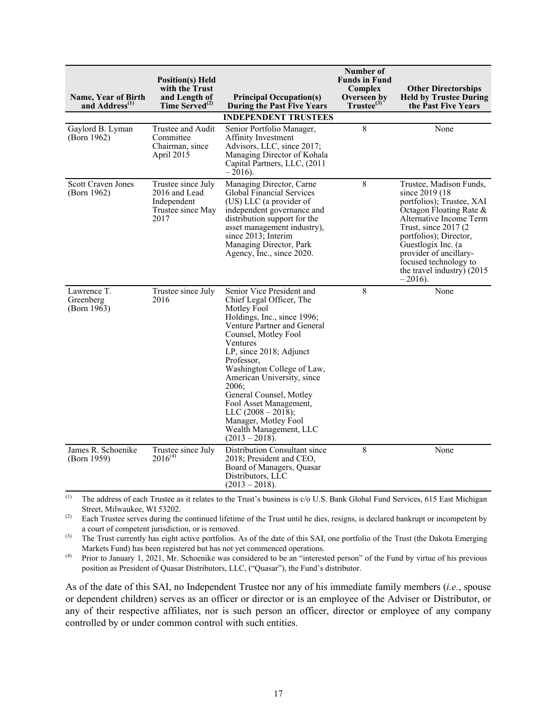| Name, Year of Birth<br>and Address <sup>(1)</sup> | <b>Position(s)</b> Held<br>with the Trust<br>and Length of<br>Time Served <sup>(2)</sup> | <b>Principal Occupation(s)</b><br><b>During the Past Five Years</b>                                                                                                                                                                                                                                                                                                                                                                       | Number of<br><b>Funds in Fund</b><br>Complex<br>Overseen by<br>$Trustee^{(3)}$ | <b>Other Directorships</b><br><b>Held by Trustee During</b><br>the Past Five Years                                                                                                                                                                                                                          |
|---------------------------------------------------|------------------------------------------------------------------------------------------|-------------------------------------------------------------------------------------------------------------------------------------------------------------------------------------------------------------------------------------------------------------------------------------------------------------------------------------------------------------------------------------------------------------------------------------------|--------------------------------------------------------------------------------|-------------------------------------------------------------------------------------------------------------------------------------------------------------------------------------------------------------------------------------------------------------------------------------------------------------|
|                                                   |                                                                                          | <b>INDEPENDENT TRUSTEES</b>                                                                                                                                                                                                                                                                                                                                                                                                               |                                                                                |                                                                                                                                                                                                                                                                                                             |
| Gaylord B. Lyman<br>(Born 1962)                   | Trustee and Audit<br>Committee<br>Chairman, since<br>April 2015                          | Senior Portfolio Manager,<br>Affinity Investment<br>Advisors, LLC, since 2017;<br>Managing Director of Kohala<br>Capital Partners, LLC, (2011)<br>$-2016$ ).                                                                                                                                                                                                                                                                              | 8                                                                              | None                                                                                                                                                                                                                                                                                                        |
| <b>Scott Craven Jones</b><br>(Born 1962)          | Trustee since July<br>2016 and Lead<br>Independent<br>Trustee since May<br>2017          | Managing Director, Carne<br>Global Financial Services<br>(US) LLC (a provider of<br>independent governance and<br>distribution support for the<br>asset management industry),<br>since 2013; Interim<br>Managing Director, Park<br>Agency, Inc., since 2020.                                                                                                                                                                              | 8                                                                              | Trustee, Madison Funds,<br>since 2019 (18)<br>portfolios); Trustee, XAI<br>Octagon Floating Rate $\&$<br>Alternative Income Term<br>Trust, since $2017(2)$<br>portfolios); Director,<br>Guestlogix Inc. (a<br>provider of ancillary-<br>focused technology to<br>the travel industry) $(2015$<br>$-2016$ ). |
| Lawrence T.<br>Greenberg<br>(Born $1963$ )        | Trustee since July<br>2016                                                               | Senior Vice President and<br>Chief Legal Officer, The<br>Motley Fool<br>Holdings, Inc., since 1996;<br>Venture Partner and General<br>Counsel, Motley Fool<br>Ventures<br>LP, since 2018; Adjunct<br>Professor,<br>Washington College of Law,<br>American University, since<br>2006:<br>General Counsel, Motley<br>Fool Asset Management,<br>LLC $(2008 - 2018)$ ;<br>Manager, Motley Fool<br>Wealth Management, LLC<br>$(2013 - 2018)$ . | 8                                                                              | None                                                                                                                                                                                                                                                                                                        |
| James R. Schoenike<br>(Born 1959)                 | Trustee since July<br>$2016^{(4)}$                                                       | Distribution Consultant since<br>2018; President and CEO,<br>Board of Managers, Quasar<br>Distributors, LLC<br>$(2013 - 2018).$                                                                                                                                                                                                                                                                                                           | 8                                                                              | None                                                                                                                                                                                                                                                                                                        |

(1) The address of each Trustee as it relates to the Trust's business is  $c/o$  U.S. Bank Global Fund Services, 615 East Michigan Street, Milwaukee, WI 53202.

<sup>(2)</sup> Each Trustee serves during the continued lifetime of the Trust until he dies, resigns, is declared bankrupt or incompetent by a court of competent jurisdiction, or is removed.

<sup>(3)</sup> The Trust currently has eight active portfolios. As of the date of this SAI, one portfolio of the Trust (the Dakota Emerging Markets Fund) has been registered but has not yet commenced operations.

(4) Prior to January 1, 2021, Mr. Schoenike was considered to be an "interested person" of the Fund by virtue of his previous position as President of Quasar Distributors, LLC, ("Quasar"), the Fund's distributor.

As of the date of this SAI, no Independent Trustee nor any of his immediate family members (*i.e.*, spouse or dependent children) serves as an officer or director or is an employee of the Adviser or Distributor, or any of their respective affiliates, nor is such person an officer, director or employee of any company controlled by or under common control with such entities.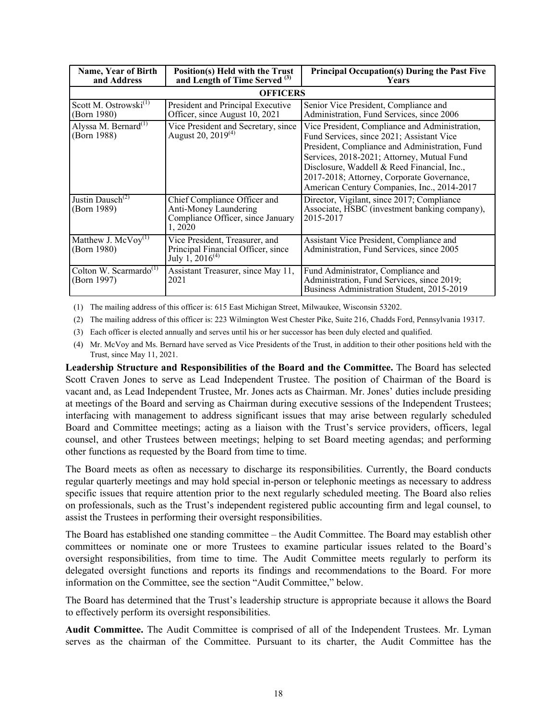| Name, Year of Birth<br>and Address                | Position(s) Held with the Trust<br>and Length of Time Served <sup>(3)</sup>                           | <b>Principal Occupation(s) During the Past Five</b><br><b>Years</b>                                                                                                                                                                                                                                                                     |
|---------------------------------------------------|-------------------------------------------------------------------------------------------------------|-----------------------------------------------------------------------------------------------------------------------------------------------------------------------------------------------------------------------------------------------------------------------------------------------------------------------------------------|
|                                                   | <b>OFFICERS</b>                                                                                       |                                                                                                                                                                                                                                                                                                                                         |
| Scott M. Ostrowski <sup>(1)</sup><br>(Born 1980)  | President and Principal Executive<br>Officer, since August 10, 2021                                   | Senior Vice President, Compliance and<br>Administration, Fund Services, since 2006                                                                                                                                                                                                                                                      |
| Alyssa M. Bernard <sup>(1)</sup><br>(Born 1988)   | Vice President and Secretary, since<br>August 20, 2019 <sup>(4)</sup>                                 | Vice President, Compliance and Administration,<br>Fund Services, since 2021; Assistant Vice<br>President, Compliance and Administration, Fund<br>Services, 2018-2021; Attorney, Mutual Fund<br>Disclosure, Waddell & Reed Financial, Inc.,<br>2017-2018; Attorney, Corporate Governance,<br>American Century Companies, Inc., 2014-2017 |
| Justin Dausch <sup>(2)</sup><br>(Born 1989)       | Chief Compliance Officer and<br>Anti-Money Laundering<br>Compliance Officer, since January<br>1, 2020 | Director, Vigilant, since 2017; Compliance<br>Associate, HSBC (investment banking company),<br>2015-2017                                                                                                                                                                                                                                |
| Matthew J. $MeVoy^{(1)}$<br>(Born 1980)           | Vice President, Treasurer, and<br>Principal Financial Officer, since<br>July 1, $2016^{(4)}$          | Assistant Vice President, Compliance and<br>Administration, Fund Services, since 2005                                                                                                                                                                                                                                                   |
| Colton W. Scarmardo <sup>(1)</sup><br>(Born 1997) | Assistant Treasurer, since May 11,<br>2021                                                            | Fund Administrator, Compliance and<br>Administration, Fund Services, since 2019;<br>Business Administration Student, 2015-2019                                                                                                                                                                                                          |

(1) The mailing address of this officer is: 615 East Michigan Street, Milwaukee, Wisconsin 53202.

(2) The mailing address of this officer is: 223 Wilmington West Chester Pike, Suite 216, Chadds Ford, Pennsylvania 19317.

(3) Each officer is elected annually and serves until his or her successor has been duly elected and qualified.

(4) Mr. McVoy and Ms. Bernard have served as Vice Presidents of the Trust, in addition to their other positions held with the Trust, since May 11, 2021.

**Leadership Structure and Responsibilities of the Board and the Committee.** The Board has selected Scott Craven Jones to serve as Lead Independent Trustee. The position of Chairman of the Board is vacant and, as Lead Independent Trustee, Mr. Jones acts as Chairman. Mr. Jones' duties include presiding at meetings of the Board and serving as Chairman during executive sessions of the Independent Trustees; interfacing with management to address significant issues that may arise between regularly scheduled Board and Committee meetings; acting as a liaison with the Trust's service providers, officers, legal counsel, and other Trustees between meetings; helping to set Board meeting agendas; and performing other functions as requested by the Board from time to time.

The Board meets as often as necessary to discharge its responsibilities. Currently, the Board conducts regular quarterly meetings and may hold special in-person or telephonic meetings as necessary to address specific issues that require attention prior to the next regularly scheduled meeting. The Board also relies on professionals, such as the Trust's independent registered public accounting firm and legal counsel, to assist the Trustees in performing their oversight responsibilities.

The Board has established one standing committee – the Audit Committee. The Board may establish other committees or nominate one or more Trustees to examine particular issues related to the Board's oversight responsibilities, from time to time. The Audit Committee meets regularly to perform its delegated oversight functions and reports its findings and recommendations to the Board. For more information on the Committee, see the section "Audit Committee," below.

The Board has determined that the Trust's leadership structure is appropriate because it allows the Board to effectively perform its oversight responsibilities.

**Audit Committee.** The Audit Committee is comprised of all of the Independent Trustees. Mr. Lyman serves as the chairman of the Committee. Pursuant to its charter, the Audit Committee has the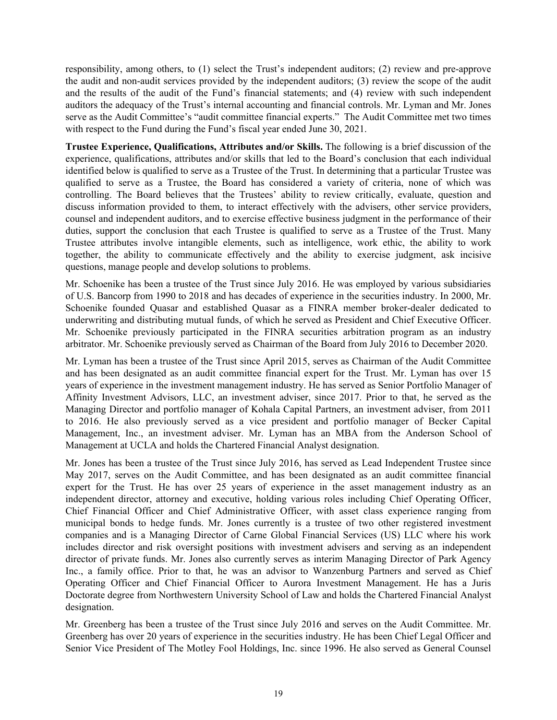responsibility, among others, to (1) select the Trust's independent auditors; (2) review and pre-approve the audit and non-audit services provided by the independent auditors; (3) review the scope of the audit and the results of the audit of the Fund's financial statements; and (4) review with such independent auditors the adequacy of the Trust's internal accounting and financial controls. Mr. Lyman and Mr. Jones serve as the Audit Committee's "audit committee financial experts." The Audit Committee met two times with respect to the Fund during the Fund's fiscal year ended June 30, 2021.

**Trustee Experience, Qualifications, Attributes and/or Skills.** The following is a brief discussion of the experience, qualifications, attributes and/or skills that led to the Board's conclusion that each individual identified below is qualified to serve as a Trustee of the Trust. In determining that a particular Trustee was qualified to serve as a Trustee, the Board has considered a variety of criteria, none of which was controlling. The Board believes that the Trustees' ability to review critically, evaluate, question and discuss information provided to them, to interact effectively with the advisers, other service providers, counsel and independent auditors, and to exercise effective business judgment in the performance of their duties, support the conclusion that each Trustee is qualified to serve as a Trustee of the Trust. Many Trustee attributes involve intangible elements, such as intelligence, work ethic, the ability to work together, the ability to communicate effectively and the ability to exercise judgment, ask incisive questions, manage people and develop solutions to problems.

Mr. Schoenike has been a trustee of the Trust since July 2016. He was employed by various subsidiaries of U.S. Bancorp from 1990 to 2018 and has decades of experience in the securities industry. In 2000, Mr. Schoenike founded Quasar and established Quasar as a FINRA member broker-dealer dedicated to underwriting and distributing mutual funds, of which he served as President and Chief Executive Officer. Mr. Schoenike previously participated in the FINRA securities arbitration program as an industry arbitrator. Mr. Schoenike previously served as Chairman of the Board from July 2016 to December 2020.

Mr. Lyman has been a trustee of the Trust since April 2015, serves as Chairman of the Audit Committee and has been designated as an audit committee financial expert for the Trust. Mr. Lyman has over 15 years of experience in the investment management industry. He has served as Senior Portfolio Manager of Affinity Investment Advisors, LLC, an investment adviser, since 2017. Prior to that, he served as the Managing Director and portfolio manager of Kohala Capital Partners, an investment adviser, from 2011 to 2016. He also previously served as a vice president and portfolio manager of Becker Capital Management, Inc., an investment adviser. Mr. Lyman has an MBA from the Anderson School of Management at UCLA and holds the Chartered Financial Analyst designation.

Mr. Jones has been a trustee of the Trust since July 2016, has served as Lead Independent Trustee since May 2017, serves on the Audit Committee, and has been designated as an audit committee financial expert for the Trust. He has over 25 years of experience in the asset management industry as an independent director, attorney and executive, holding various roles including Chief Operating Officer, Chief Financial Officer and Chief Administrative Officer, with asset class experience ranging from municipal bonds to hedge funds. Mr. Jones currently is a trustee of two other registered investment companies and is a Managing Director of Carne Global Financial Services (US) LLC where his work includes director and risk oversight positions with investment advisers and serving as an independent director of private funds. Mr. Jones also currently serves as interim Managing Director of Park Agency Inc., a family office. Prior to that, he was an advisor to Wanzenburg Partners and served as Chief Operating Officer and Chief Financial Officer to Aurora Investment Management. He has a Juris Doctorate degree from Northwestern University School of Law and holds the Chartered Financial Analyst designation.

Mr. Greenberg has been a trustee of the Trust since July 2016 and serves on the Audit Committee. Mr. Greenberg has over 20 years of experience in the securities industry. He has been Chief Legal Officer and Senior Vice President of The Motley Fool Holdings, Inc. since 1996. He also served as General Counsel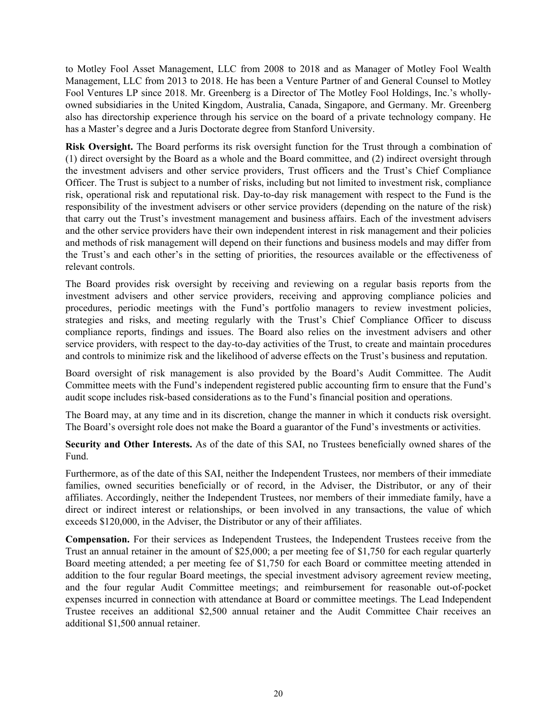to Motley Fool Asset Management, LLC from 2008 to 2018 and as Manager of Motley Fool Wealth Management, LLC from 2013 to 2018. He has been a Venture Partner of and General Counsel to Motley Fool Ventures LP since 2018. Mr. Greenberg is a Director of The Motley Fool Holdings, Inc.'s whollyowned subsidiaries in the United Kingdom, Australia, Canada, Singapore, and Germany. Mr. Greenberg also has directorship experience through his service on the board of a private technology company. He has a Master's degree and a Juris Doctorate degree from Stanford University.

**Risk Oversight.** The Board performs its risk oversight function for the Trust through a combination of (1) direct oversight by the Board as a whole and the Board committee, and (2) indirect oversight through the investment advisers and other service providers, Trust officers and the Trust's Chief Compliance Officer. The Trust is subject to a number of risks, including but not limited to investment risk, compliance risk, operational risk and reputational risk. Day-to-day risk management with respect to the Fund is the responsibility of the investment advisers or other service providers (depending on the nature of the risk) that carry out the Trust's investment management and business affairs. Each of the investment advisers and the other service providers have their own independent interest in risk management and their policies and methods of risk management will depend on their functions and business models and may differ from the Trust's and each other's in the setting of priorities, the resources available or the effectiveness of relevant controls.

The Board provides risk oversight by receiving and reviewing on a regular basis reports from the investment advisers and other service providers, receiving and approving compliance policies and procedures, periodic meetings with the Fund's portfolio managers to review investment policies, strategies and risks, and meeting regularly with the Trust's Chief Compliance Officer to discuss compliance reports, findings and issues. The Board also relies on the investment advisers and other service providers, with respect to the day-to-day activities of the Trust, to create and maintain procedures and controls to minimize risk and the likelihood of adverse effects on the Trust's business and reputation.

Board oversight of risk management is also provided by the Board's Audit Committee. The Audit Committee meets with the Fund's independent registered public accounting firm to ensure that the Fund's audit scope includes risk-based considerations as to the Fund's financial position and operations.

The Board may, at any time and in its discretion, change the manner in which it conducts risk oversight. The Board's oversight role does not make the Board a guarantor of the Fund's investments or activities.

**Security and Other Interests.** As of the date of this SAI, no Trustees beneficially owned shares of the Fund.

Furthermore, as of the date of this SAI, neither the Independent Trustees, nor members of their immediate families, owned securities beneficially or of record, in the Adviser, the Distributor, or any of their affiliates. Accordingly, neither the Independent Trustees, nor members of their immediate family, have a direct or indirect interest or relationships, or been involved in any transactions, the value of which exceeds \$120,000, in the Adviser, the Distributor or any of their affiliates.

**Compensation.** For their services as Independent Trustees, the Independent Trustees receive from the Trust an annual retainer in the amount of \$25,000; a per meeting fee of \$1,750 for each regular quarterly Board meeting attended; a per meeting fee of \$1,750 for each Board or committee meeting attended in addition to the four regular Board meetings, the special investment advisory agreement review meeting, and the four regular Audit Committee meetings; and reimbursement for reasonable out-of-pocket expenses incurred in connection with attendance at Board or committee meetings. The Lead Independent Trustee receives an additional \$2,500 annual retainer and the Audit Committee Chair receives an additional \$1,500 annual retainer.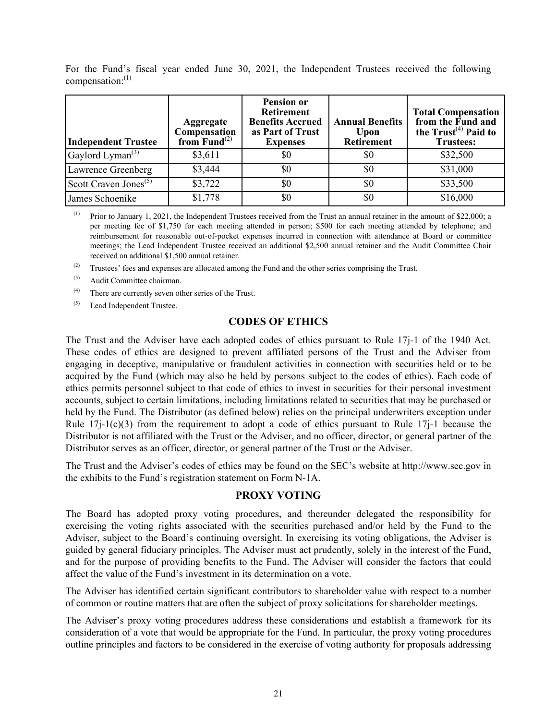| <b>Independent Trustee</b>                | Aggregate<br>Compensation<br>from $\mathbf{Fund}^{(2)}$ | <b>Pension or</b><br><b>Retirement</b><br><b>Benefits Accrued</b><br>as Part of Trust<br><b>Expenses</b> | <b>Annual Benefits</b><br>Upon<br><b>Retirement</b> | <b>Total Compensation</b><br>from the Fund and<br>the $Trust(4)$ Paid to<br><b>Trustees:</b> |
|-------------------------------------------|---------------------------------------------------------|----------------------------------------------------------------------------------------------------------|-----------------------------------------------------|----------------------------------------------------------------------------------------------|
| Gaylord Lyman <sup><math>(3)</math></sup> | \$3,611                                                 | \$0                                                                                                      | \$0                                                 | \$32,500                                                                                     |
| Lawrence Greenberg                        | \$3,444                                                 | \$0                                                                                                      | \$0                                                 | \$31,000                                                                                     |
| Scott Craven Jones <sup>(5)</sup>         | \$3,722                                                 | \$0                                                                                                      | \$0                                                 | \$33,500                                                                                     |
| James Schoenike                           | \$1,778                                                 | \$0                                                                                                      | \$0                                                 | \$16,000                                                                                     |

<span id="page-22-0"></span>For the Fund's fiscal year ended June 30, 2021, the Independent Trustees received the following compensation: $^{(1)}$ 

(1) Prior to January 1, 2021, the Independent Trustees received from the Trust an annual retainer in the amount of \$22,000; a per meeting fee of \$1,750 for each meeting attended in person; \$500 for each meeting attended by telephone; and reimbursement for reasonable out-of-pocket expenses incurred in connection with attendance at Board or committee meetings; the Lead Independent Trustee received an additional \$2,500 annual retainer and the Audit Committee Chair received an additional \$1,500 annual retainer.

(2) Trustees' fees and expenses are allocated among the Fund and the other series comprising the Trust.

- (3) Audit Committee chairman.
- (4) There are currently seven other series of the Trust.
- (5) Lead Independent Trustee.

#### **CODES OF ETHICS**

The Trust and the Adviser have each adopted codes of ethics pursuant to Rule 17j-1 of the 1940 Act. These codes of ethics are designed to prevent affiliated persons of the Trust and the Adviser from engaging in deceptive, manipulative or fraudulent activities in connection with securities held or to be acquired by the Fund (which may also be held by persons subject to the codes of ethics). Each code of ethics permits personnel subject to that code of ethics to invest in securities for their personal investment accounts, subject to certain limitations, including limitations related to securities that may be purchased or held by the Fund. The Distributor (as defined below) relies on the principal underwriters exception under Rule  $17j-1(c)(3)$  from the requirement to adopt a code of ethics pursuant to Rule  $17j-1$  because the Distributor is not affiliated with the Trust or the Adviser, and no officer, director, or general partner of the Distributor serves as an officer, director, or general partner of the Trust or the Adviser.

The Trust and the Adviser's codes of ethics may be found on the SEC's website at http://www.sec.gov in the exhibits to the Fund's registration statement on Form N-1A.

### **PROXY VOTING**

The Board has adopted proxy voting procedures, and thereunder delegated the responsibility for exercising the voting rights associated with the securities purchased and/or held by the Fund to the Adviser, subject to the Board's continuing oversight. In exercising its voting obligations, the Adviser is guided by general fiduciary principles. The Adviser must act prudently, solely in the interest of the Fund, and for the purpose of providing benefits to the Fund. The Adviser will consider the factors that could affect the value of the Fund's investment in its determination on a vote.

The Adviser has identified certain significant contributors to shareholder value with respect to a number of common or routine matters that are often the subject of proxy solicitations for shareholder meetings.

The Adviser's proxy voting procedures address these considerations and establish a framework for its consideration of a vote that would be appropriate for the Fund. In particular, the proxy voting procedures outline principles and factors to be considered in the exercise of voting authority for proposals addressing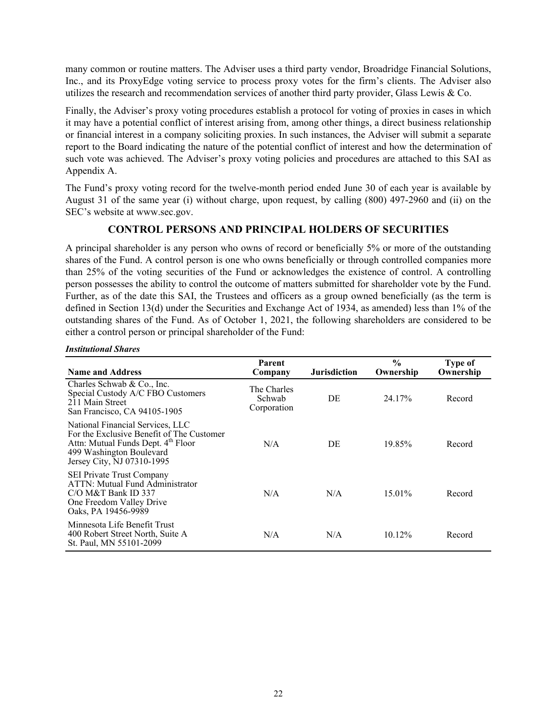<span id="page-23-0"></span>many common or routine matters. The Adviser uses a third party vendor, Broadridge Financial Solutions, Inc., and its ProxyEdge voting service to process proxy votes for the firm's clients. The Adviser also utilizes the research and recommendation services of another third party provider, Glass Lewis & Co.

Finally, the Adviser's proxy voting procedures establish a protocol for voting of proxies in cases in which it may have a potential conflict of interest arising from, among other things, a direct business relationship or financial interest in a company soliciting proxies. In such instances, the Adviser will submit a separate report to the Board indicating the nature of the potential conflict of interest and how the determination of such vote was achieved. The Adviser's proxy voting policies and procedures are attached to this SAI as Appendix A.

The Fund's proxy voting record for the twelve-month period ended June 30 of each year is available by August 31 of the same year (i) without charge, upon request, by calling (800) 497-2960 and (ii) on the SEC's website at www.sec.gov.

## **CONTROL PERSONS AND PRINCIPAL HOLDERS OF SECURITIES**

A principal shareholder is any person who owns of record or beneficially 5% or more of the outstanding shares of the Fund. A control person is one who owns beneficially or through controlled companies more than 25% of the voting securities of the Fund or acknowledges the existence of control. A controlling person possesses the ability to control the outcome of matters submitted for shareholder vote by the Fund. Further, as of the date this SAI, the Trustees and officers as a group owned beneficially (as the term is defined in Section 13(d) under the Securities and Exchange Act of 1934, as amended) less than 1% of the outstanding shares of the Fund. As of October 1, 2021, the following shareholders are considered to be either a control person or principal shareholder of the Fund:

| <b>Name and Address</b>                                                                                                                                                       | Parent<br>Company                    | <b>Jurisdiction</b> | $\frac{0}{0}$<br>Ownership | Type of<br>Ownership |
|-------------------------------------------------------------------------------------------------------------------------------------------------------------------------------|--------------------------------------|---------------------|----------------------------|----------------------|
| Charles Schwab & Co., Inc.<br>Special Custody A/C FBO Customers<br>211 Main Street<br>San Francisco, CA 94105-1905                                                            | The Charles<br>Schwab<br>Corporation | DE                  | 24.17%                     | Record               |
| National Financial Services, LLC<br>For the Exclusive Benefit of The Customer<br>Attn: Mutual Funds Dept. 4th Floor<br>499 Washington Boulevard<br>Jersey City, NJ 07310-1995 | N/A                                  | DE                  | 19.85%                     | Record               |
| <b>SEI Private Trust Company</b><br>ATTN: Mutual Fund Administrator<br>$C/O$ M&T Bank ID 337<br>One Freedom Valley Drive<br>Oaks, PA 19456-9989                               | N/A                                  | N/A                 | 15.01%                     | Record               |
| Minnesota Life Benefit Trust<br>400 Robert Street North, Suite A<br>St. Paul, MN 55101-2099                                                                                   | N/A                                  | N/A                 | $10.12\%$                  | Record               |

#### *Institutional Shares*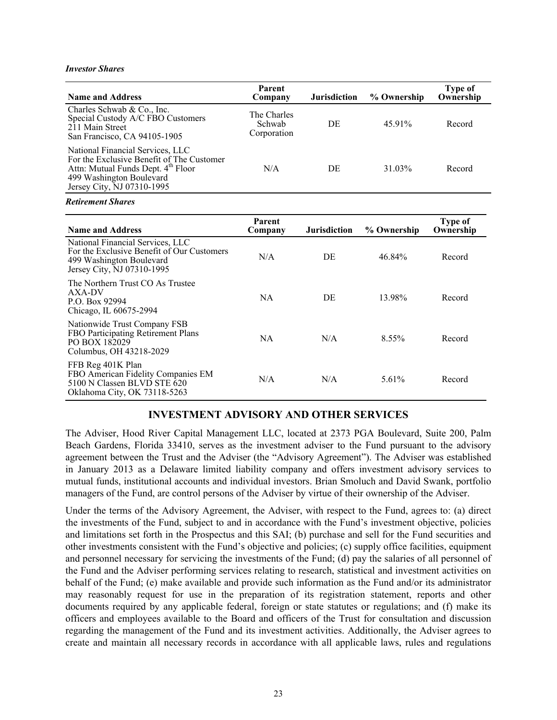#### <span id="page-24-0"></span>*Investor Shares*

| <b>Name and Address</b>                                                                                                                                                       | Parent<br>Company                    | <b>Jurisdiction</b> | % Ownership | Type of<br>Ownership |
|-------------------------------------------------------------------------------------------------------------------------------------------------------------------------------|--------------------------------------|---------------------|-------------|----------------------|
| Charles Schwab & Co., Inc.<br>Special Custody A/C FBO Customers<br>211 Main Street<br>San Francisco, CA 94105-1905                                                            | The Charles<br>Schwab<br>Corporation | DE                  | 45.91%      | Record               |
| National Financial Services, LLC<br>For the Exclusive Benefit of The Customer<br>Attn: Mutual Funds Dept. 4th Floor<br>499 Washington Boulevard<br>Jersey City, NJ 07310-1995 | N/A                                  | DE                  | 31.03%      | Record               |

#### *Retirement Shares*

| <b>Name and Address</b>                                                                                                                  | Parent<br>Company | <b>Jurisdiction</b> | % Ownership | Type of<br>Ownership |
|------------------------------------------------------------------------------------------------------------------------------------------|-------------------|---------------------|-------------|----------------------|
| National Financial Services, LLC<br>For the Exclusive Benefit of Our Customers<br>499 Washington Boulevard<br>Jersey City, NJ 07310-1995 | N/A               | DE                  | 46.84%      | Record               |
| The Northern Trust CO As Trustee<br>AXA-DV<br>P.O. Box 92994<br>Chicago, IL 60675-2994                                                   | NA.               | DE                  | 13.98%      | Record               |
| Nationwide Trust Company FSB<br>FBO Participating Retirement Plans<br>PO BOX 182029<br>Columbus, OH 43218-2029                           | NA                | N/A                 | $8.55\%$    | Record               |
| FFB Reg 401K Plan<br>FBO American Fidelity Companies EM<br>5100 N Classen BLVD STE 620<br>Oklahoma City, OK 73118-5263                   | N/A               | N/A                 | 5.61%       | Record               |

#### **INVESTMENT ADVISORY AND OTHER SERVICES**

The Adviser, Hood River Capital Management LLC, located at 2373 PGA Boulevard, Suite 200, Palm Beach Gardens, Florida 33410, serves as the investment adviser to the Fund pursuant to the advisory agreement between the Trust and the Adviser (the "Advisory Agreement"). The Adviser was established in January 2013 as a Delaware limited liability company and offers investment advisory services to mutual funds, institutional accounts and individual investors. Brian Smoluch and David Swank, portfolio managers of the Fund, are control persons of the Adviser by virtue of their ownership of the Adviser.

Under the terms of the Advisory Agreement, the Adviser, with respect to the Fund, agrees to: (a) direct the investments of the Fund, subject to and in accordance with the Fund's investment objective, policies and limitations set forth in the Prospectus and this SAI; (b) purchase and sell for the Fund securities and other investments consistent with the Fund's objective and policies; (c) supply office facilities, equipment and personnel necessary for servicing the investments of the Fund; (d) pay the salaries of all personnel of the Fund and the Adviser performing services relating to research, statistical and investment activities on behalf of the Fund; (e) make available and provide such information as the Fund and/or its administrator may reasonably request for use in the preparation of its registration statement, reports and other documents required by any applicable federal, foreign or state statutes or regulations; and (f) make its officers and employees available to the Board and officers of the Trust for consultation and discussion regarding the management of the Fund and its investment activities. Additionally, the Adviser agrees to create and maintain all necessary records in accordance with all applicable laws, rules and regulations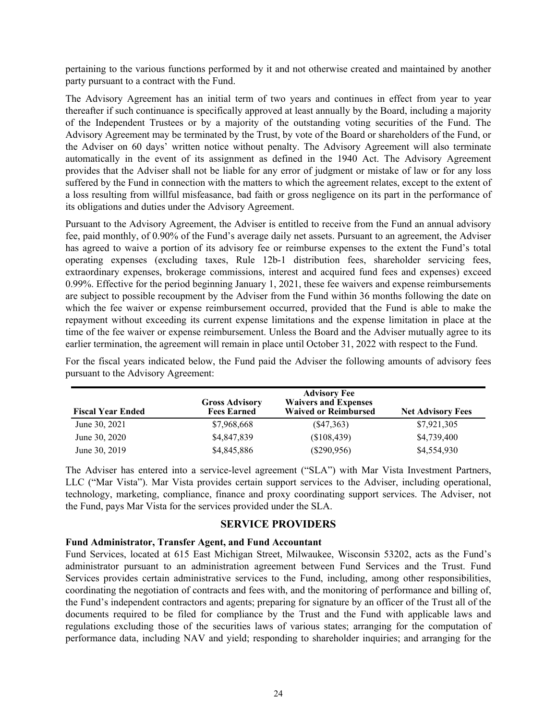<span id="page-25-0"></span>pertaining to the various functions performed by it and not otherwise created and maintained by another party pursuant to a contract with the Fund.

The Advisory Agreement has an initial term of two years and continues in effect from year to year thereafter if such continuance is specifically approved at least annually by the Board, including a majority of the Independent Trustees or by a majority of the outstanding voting securities of the Fund. The Advisory Agreement may be terminated by the Trust, by vote of the Board or shareholders of the Fund, or the Adviser on 60 days' written notice without penalty. The Advisory Agreement will also terminate automatically in the event of its assignment as defined in the 1940 Act. The Advisory Agreement provides that the Adviser shall not be liable for any error of judgment or mistake of law or for any loss suffered by the Fund in connection with the matters to which the agreement relates, except to the extent of a loss resulting from willful misfeasance, bad faith or gross negligence on its part in the performance of its obligations and duties under the Advisory Agreement.

Pursuant to the Advisory Agreement, the Adviser is entitled to receive from the Fund an annual advisory fee, paid monthly, of 0.90% of the Fund's average daily net assets. Pursuant to an agreement, the Adviser has agreed to waive a portion of its advisory fee or reimburse expenses to the extent the Fund's total operating expenses (excluding taxes, Rule 12b-1 distribution fees, shareholder servicing fees, extraordinary expenses, brokerage commissions, interest and acquired fund fees and expenses) exceed 0.99%. Effective for the period beginning January 1, 2021, these fee waivers and expense reimbursements are subject to possible recoupment by the Adviser from the Fund within 36 months following the date on which the fee waiver or expense reimbursement occurred, provided that the Fund is able to make the repayment without exceeding its current expense limitations and the expense limitation in place at the time of the fee waiver or expense reimbursement. Unless the Board and the Adviser mutually agree to its earlier termination, the agreement will remain in place until October 31, 2022 with respect to the Fund.

| <b>Fiscal Year Ended</b> | <b>Gross Advisory</b><br><b>Fees Earned</b> | <b>Advisory Fee</b><br><b>Waivers and Expenses</b><br><b>Waived or Reimbursed</b> | <b>Net Advisory Fees</b> |
|--------------------------|---------------------------------------------|-----------------------------------------------------------------------------------|--------------------------|
| June 30, 2021            | \$7,968,668                                 | $(\$47,363)$                                                                      | \$7,921,305              |
| June 30, 2020            | \$4,847,839                                 | (\$108,439)                                                                       | \$4,739,400              |
| June 30, 2019            | \$4,845,886                                 | $(\$290,956)$                                                                     | \$4,554,930              |

For the fiscal years indicated below, the Fund paid the Adviser the following amounts of advisory fees pursuant to the Advisory Agreement:

The Adviser has entered into a service-level agreement ("SLA") with Mar Vista Investment Partners, LLC ("Mar Vista"). Mar Vista provides certain support services to the Adviser, including operational, technology, marketing, compliance, finance and proxy coordinating support services. The Adviser, not the Fund, pays Mar Vista for the services provided under the SLA.

#### **SERVICE PROVIDERS**

#### **Fund Administrator, Transfer Agent, and Fund Accountant**

Fund Services, located at 615 East Michigan Street, Milwaukee, Wisconsin 53202, acts as the Fund's administrator pursuant to an administration agreement between Fund Services and the Trust. Fund Services provides certain administrative services to the Fund, including, among other responsibilities, coordinating the negotiation of contracts and fees with, and the monitoring of performance and billing of, the Fund's independent contractors and agents; preparing for signature by an officer of the Trust all of the documents required to be filed for compliance by the Trust and the Fund with applicable laws and regulations excluding those of the securities laws of various states; arranging for the computation of performance data, including NAV and yield; responding to shareholder inquiries; and arranging for the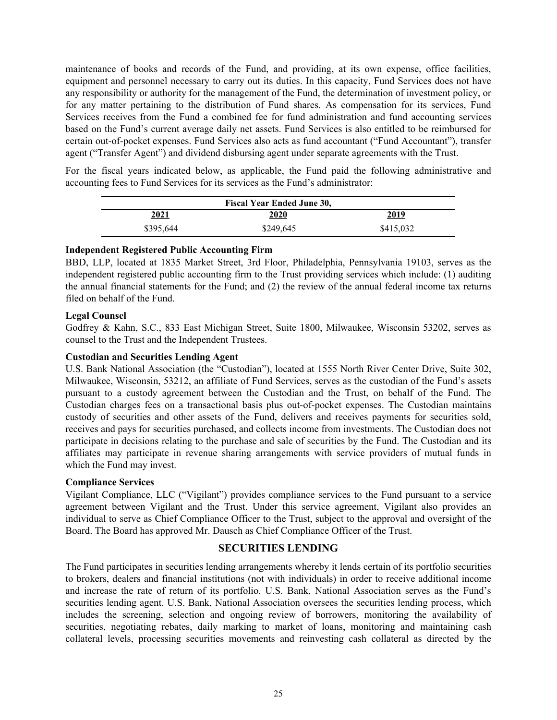<span id="page-26-0"></span>maintenance of books and records of the Fund, and providing, at its own expense, office facilities, equipment and personnel necessary to carry out its duties. In this capacity, Fund Services does not have any responsibility or authority for the management of the Fund, the determination of investment policy, or for any matter pertaining to the distribution of Fund shares. As compensation for its services, Fund Services receives from the Fund a combined fee for fund administration and fund accounting services based on the Fund's current average daily net assets. Fund Services is also entitled to be reimbursed for certain out-of-pocket expenses. Fund Services also acts as fund accountant ("Fund Accountant"), transfer agent ("Transfer Agent") and dividend disbursing agent under separate agreements with the Trust.

For the fiscal years indicated below, as applicable, the Fund paid the following administrative and accounting fees to Fund Services for its services as the Fund's administrator:

|           | <b>Fiscal Year Ended June 30,</b> |           |
|-----------|-----------------------------------|-----------|
| 2021      | 2020                              | 2019      |
| \$395,644 | \$249,645                         | \$415,032 |

#### **Independent Registered Public Accounting Firm**

BBD, LLP, located at 1835 Market Street, 3rd Floor, Philadelphia, Pennsylvania 19103, serves as the independent registered public accounting firm to the Trust providing services which include: (1) auditing the annual financial statements for the Fund; and (2) the review of the annual federal income tax returns filed on behalf of the Fund.

#### **Legal Counsel**

Godfrey & Kahn, S.C., 833 East Michigan Street, Suite 1800, Milwaukee, Wisconsin 53202, serves as counsel to the Trust and the Independent Trustees.

### **Custodian and Securities Lending Agent**

U.S. Bank National Association (the "Custodian"), located at 1555 North River Center Drive, Suite 302, Milwaukee, Wisconsin, 53212, an affiliate of Fund Services, serves as the custodian of the Fund's assets pursuant to a custody agreement between the Custodian and the Trust, on behalf of the Fund. The Custodian charges fees on a transactional basis plus out-of-pocket expenses. The Custodian maintains custody of securities and other assets of the Fund, delivers and receives payments for securities sold, receives and pays for securities purchased, and collects income from investments. The Custodian does not participate in decisions relating to the purchase and sale of securities by the Fund. The Custodian and its affiliates may participate in revenue sharing arrangements with service providers of mutual funds in which the Fund may invest.

#### **Compliance Services**

Vigilant Compliance, LLC ("Vigilant") provides compliance services to the Fund pursuant to a service agreement between Vigilant and the Trust. Under this service agreement, Vigilant also provides an individual to serve as Chief Compliance Officer to the Trust, subject to the approval and oversight of the Board. The Board has approved Mr. Dausch as Chief Compliance Officer of the Trust.

### **SECURITIES LENDING**

The Fund participates in securities lending arrangements whereby it lends certain of its portfolio securities to brokers, dealers and financial institutions (not with individuals) in order to receive additional income and increase the rate of return of its portfolio. U.S. Bank, National Association serves as the Fund's securities lending agent. U.S. Bank, National Association oversees the securities lending process, which includes the screening, selection and ongoing review of borrowers, monitoring the availability of securities, negotiating rebates, daily marking to market of loans, monitoring and maintaining cash collateral levels, processing securities movements and reinvesting cash collateral as directed by the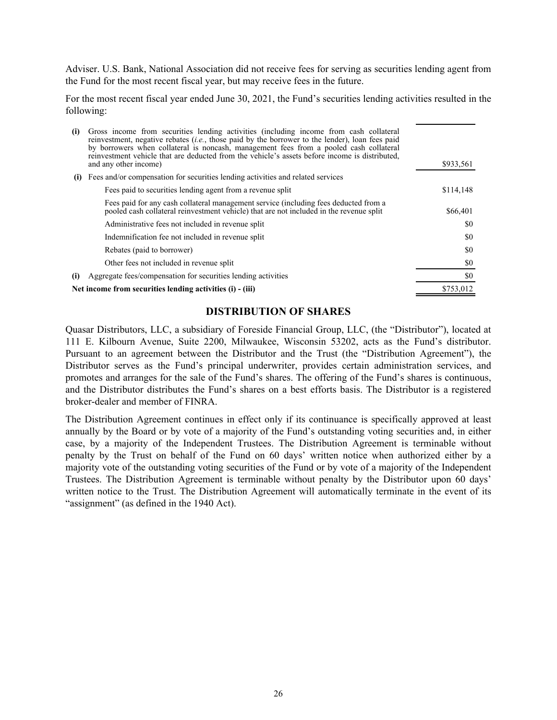<span id="page-27-0"></span>Adviser. U.S. Bank, National Association did not receive fees for serving as securities lending agent from the Fund for the most recent fiscal year, but may receive fees in the future.

For the most recent fiscal year ended June 30, 2021, the Fund's securities lending activities resulted in the following:

| (i) | Gross income from securities lending activities (including income from cash collateral<br>reinvestment, negative rebates (i.e., those paid by the borrower to the lender), loan fees paid<br>by borrowers when collateral is noncash, management fees from a pooled cash collateral<br>reinvestment vehicle that are deducted from the vehicle's assets before income is distributed,<br>and any other income) | \$933,561 |
|-----|----------------------------------------------------------------------------------------------------------------------------------------------------------------------------------------------------------------------------------------------------------------------------------------------------------------------------------------------------------------------------------------------------------------|-----------|
| (i) | Fees and/or compensation for securities lending activities and related services                                                                                                                                                                                                                                                                                                                                |           |
|     | Fees paid to securities lending agent from a revenue split                                                                                                                                                                                                                                                                                                                                                     | \$114,148 |
|     | Fees paid for any cash collateral management service (including fees deducted from a<br>pooled cash collateral reinvestment vehicle) that are not included in the revenue split                                                                                                                                                                                                                                | \$66,401  |
|     | Administrative fees not included in revenue split                                                                                                                                                                                                                                                                                                                                                              | SO.       |
|     | Indemnification fee not included in revenue split                                                                                                                                                                                                                                                                                                                                                              | \$0       |
|     | Rebates (paid to borrower)                                                                                                                                                                                                                                                                                                                                                                                     | SO.       |
|     | Other fees not included in revenue split                                                                                                                                                                                                                                                                                                                                                                       | \$0       |
| (i) | Aggregate fees/compensation for securities lending activities                                                                                                                                                                                                                                                                                                                                                  | \$0       |
|     | Net income from securities lending activities (i) - (iii)                                                                                                                                                                                                                                                                                                                                                      | \$753,012 |

#### **DISTRIBUTION OF SHARES**

Quasar Distributors, LLC, a subsidiary of Foreside Financial Group, LLC, (the "Distributor"), located at 111 E. Kilbourn Avenue, Suite 2200, Milwaukee, Wisconsin 53202, acts as the Fund's distributor. Pursuant to an agreement between the Distributor and the Trust (the "Distribution Agreement"), the Distributor serves as the Fund's principal underwriter, provides certain administration services, and promotes and arranges for the sale of the Fund's shares. The offering of the Fund's shares is continuous, and the Distributor distributes the Fund's shares on a best efforts basis. The Distributor is a registered broker-dealer and member of FINRA.

The Distribution Agreement continues in effect only if its continuance is specifically approved at least annually by the Board or by vote of a majority of the Fund's outstanding voting securities and, in either case, by a majority of the Independent Trustees. The Distribution Agreement is terminable without penalty by the Trust on behalf of the Fund on 60 days' written notice when authorized either by a majority vote of the outstanding voting securities of the Fund or by vote of a majority of the Independent Trustees. The Distribution Agreement is terminable without penalty by the Distributor upon 60 days' written notice to the Trust. The Distribution Agreement will automatically terminate in the event of its "assignment" (as defined in the 1940 Act).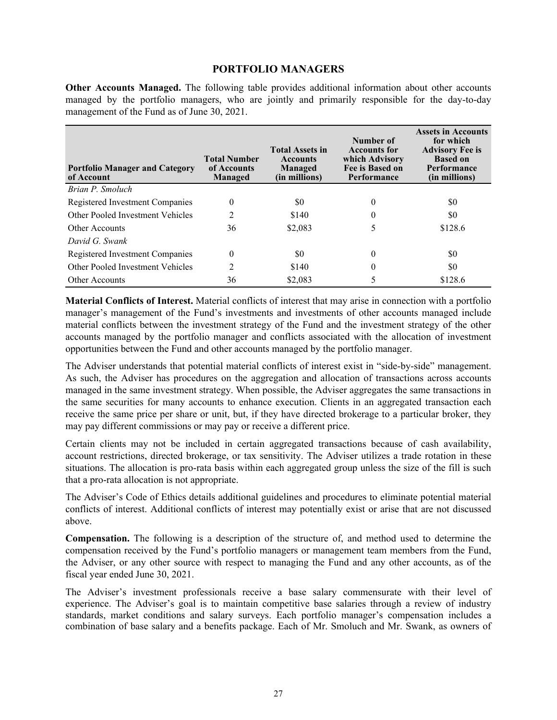#### **PORTFOLIO MANAGERS**

<span id="page-28-0"></span>**Other Accounts Managed.** The following table provides additional information about other accounts managed by the portfolio managers, who are jointly and primarily responsible for the day-to-day management of the Fund as of June 30, 2021.

| <b>Portfolio Manager and Category</b><br>of Account | <b>Total Number</b><br>of Accounts<br>Managed | <b>Total Assets in</b><br><b>Accounts</b><br>Managed<br>(in millions) | Number of<br><b>Accounts for</b><br>which Advisory<br>Fee is Based on<br>Performance | <b>Assets in Accounts</b><br>for which<br><b>Advisory Fee is</b><br><b>Based on</b><br><b>Performance</b><br>(in millions) |
|-----------------------------------------------------|-----------------------------------------------|-----------------------------------------------------------------------|--------------------------------------------------------------------------------------|----------------------------------------------------------------------------------------------------------------------------|
| Brian P. Smoluch                                    |                                               |                                                                       |                                                                                      |                                                                                                                            |
| Registered Investment Companies                     | $\theta$                                      | \$0                                                                   | $\theta$                                                                             | \$0                                                                                                                        |
| Other Pooled Investment Vehicles                    | 2                                             | \$140                                                                 | $\theta$                                                                             | \$0                                                                                                                        |
| <b>Other Accounts</b>                               | 36                                            | \$2,083                                                               | 5                                                                                    | \$128.6                                                                                                                    |
| David G. Swank                                      |                                               |                                                                       |                                                                                      |                                                                                                                            |
| Registered Investment Companies                     | $\theta$                                      | \$0                                                                   | 0                                                                                    | \$0                                                                                                                        |
| Other Pooled Investment Vehicles                    | 2                                             | \$140                                                                 | 0                                                                                    | \$0                                                                                                                        |
| <b>Other Accounts</b>                               | 36                                            | \$2,083                                                               | 5                                                                                    | \$128.6                                                                                                                    |

**Material Conflicts of Interest.** Material conflicts of interest that may arise in connection with a portfolio manager's management of the Fund's investments and investments of other accounts managed include material conflicts between the investment strategy of the Fund and the investment strategy of the other accounts managed by the portfolio manager and conflicts associated with the allocation of investment opportunities between the Fund and other accounts managed by the portfolio manager.

The Adviser understands that potential material conflicts of interest exist in "side-by-side" management. As such, the Adviser has procedures on the aggregation and allocation of transactions across accounts managed in the same investment strategy. When possible, the Adviser aggregates the same transactions in the same securities for many accounts to enhance execution. Clients in an aggregated transaction each receive the same price per share or unit, but, if they have directed brokerage to a particular broker, they may pay different commissions or may pay or receive a different price.

Certain clients may not be included in certain aggregated transactions because of cash availability, account restrictions, directed brokerage, or tax sensitivity. The Adviser utilizes a trade rotation in these situations. The allocation is pro-rata basis within each aggregated group unless the size of the fill is such that a pro-rata allocation is not appropriate.

The Adviser's Code of Ethics details additional guidelines and procedures to eliminate potential material conflicts of interest. Additional conflicts of interest may potentially exist or arise that are not discussed above.

**Compensation.** The following is a description of the structure of, and method used to determine the compensation received by the Fund's portfolio managers or management team members from the Fund, the Adviser, or any other source with respect to managing the Fund and any other accounts, as of the fiscal year ended June 30, 2021.

The Adviser's investment professionals receive a base salary commensurate with their level of experience. The Adviser's goal is to maintain competitive base salaries through a review of industry standards, market conditions and salary surveys. Each portfolio manager's compensation includes a combination of base salary and a benefits package. Each of Mr. Smoluch and Mr. Swank, as owners of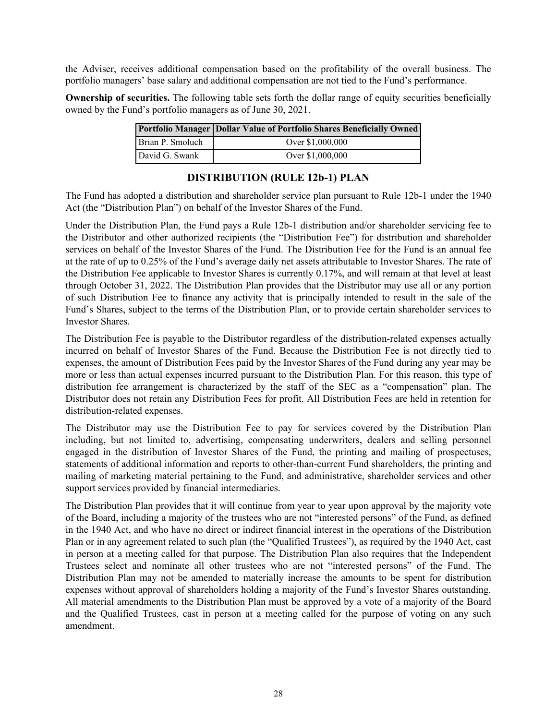<span id="page-29-0"></span>the Adviser, receives additional compensation based on the profitability of the overall business. The portfolio managers' base salary and additional compensation are not tied to the Fund's performance.

**Ownership of securities.** The following table sets forth the dollar range of equity securities beneficially owned by the Fund's portfolio managers as of June 30, 2021.

|                  | Portfolio Manager   Dollar Value of Portfolio Shares Beneficially Owned |
|------------------|-------------------------------------------------------------------------|
| Brian P. Smoluch | Over \$1,000,000                                                        |
| David G. Swank   | Over \$1,000,000                                                        |

### **DISTRIBUTION (RULE 12b-1) PLAN**

The Fund has adopted a distribution and shareholder service plan pursuant to Rule 12b-1 under the 1940 Act (the "Distribution Plan") on behalf of the Investor Shares of the Fund.

Under the Distribution Plan, the Fund pays a Rule 12b-1 distribution and/or shareholder servicing fee to the Distributor and other authorized recipients (the "Distribution Fee") for distribution and shareholder services on behalf of the Investor Shares of the Fund. The Distribution Fee for the Fund is an annual fee at the rate of up to 0.25% of the Fund's average daily net assets attributable to Investor Shares. The rate of the Distribution Fee applicable to Investor Shares is currently 0.17%, and will remain at that level at least through October 31, 2022. The Distribution Plan provides that the Distributor may use all or any portion of such Distribution Fee to finance any activity that is principally intended to result in the sale of the Fund's Shares, subject to the terms of the Distribution Plan, or to provide certain shareholder services to Investor Shares.

The Distribution Fee is payable to the Distributor regardless of the distribution-related expenses actually incurred on behalf of Investor Shares of the Fund. Because the Distribution Fee is not directly tied to expenses, the amount of Distribution Fees paid by the Investor Shares of the Fund during any year may be more or less than actual expenses incurred pursuant to the Distribution Plan. For this reason, this type of distribution fee arrangement is characterized by the staff of the SEC as a "compensation" plan. The Distributor does not retain any Distribution Fees for profit. All Distribution Fees are held in retention for distribution-related expenses.

The Distributor may use the Distribution Fee to pay for services covered by the Distribution Plan including, but not limited to, advertising, compensating underwriters, dealers and selling personnel engaged in the distribution of Investor Shares of the Fund, the printing and mailing of prospectuses, statements of additional information and reports to other-than-current Fund shareholders, the printing and mailing of marketing material pertaining to the Fund, and administrative, shareholder services and other support services provided by financial intermediaries.

The Distribution Plan provides that it will continue from year to year upon approval by the majority vote of the Board, including a majority of the trustees who are not "interested persons" of the Fund, as defined in the 1940 Act, and who have no direct or indirect financial interest in the operations of the Distribution Plan or in any agreement related to such plan (the "Qualified Trustees"), as required by the 1940 Act, cast in person at a meeting called for that purpose. The Distribution Plan also requires that the Independent Trustees select and nominate all other trustees who are not "interested persons" of the Fund. The Distribution Plan may not be amended to materially increase the amounts to be spent for distribution expenses without approval of shareholders holding a majority of the Fund's Investor Shares outstanding. All material amendments to the Distribution Plan must be approved by a vote of a majority of the Board and the Qualified Trustees, cast in person at a meeting called for the purpose of voting on any such amendment.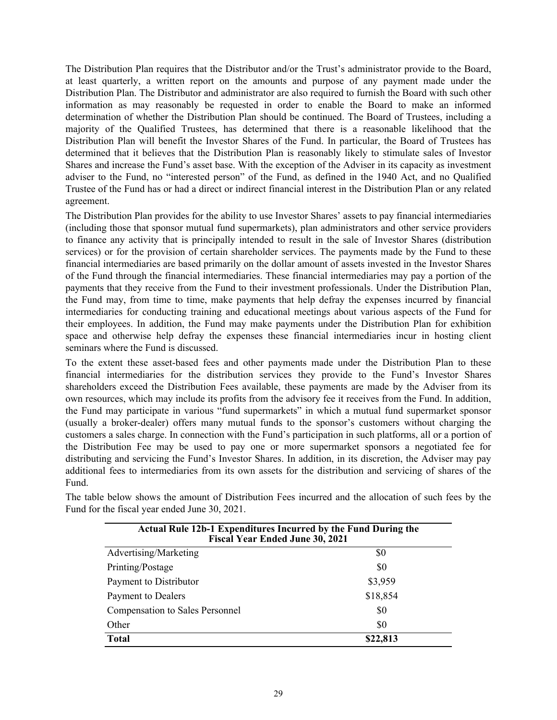The Distribution Plan requires that the Distributor and/or the Trust's administrator provide to the Board, at least quarterly, a written report on the amounts and purpose of any payment made under the Distribution Plan. The Distributor and administrator are also required to furnish the Board with such other information as may reasonably be requested in order to enable the Board to make an informed determination of whether the Distribution Plan should be continued. The Board of Trustees, including a majority of the Qualified Trustees, has determined that there is a reasonable likelihood that the Distribution Plan will benefit the Investor Shares of the Fund. In particular, the Board of Trustees has determined that it believes that the Distribution Plan is reasonably likely to stimulate sales of Investor Shares and increase the Fund's asset base. With the exception of the Adviser in its capacity as investment adviser to the Fund, no "interested person" of the Fund, as defined in the 1940 Act, and no Qualified Trustee of the Fund has or had a direct or indirect financial interest in the Distribution Plan or any related agreement.

The Distribution Plan provides for the ability to use Investor Shares' assets to pay financial intermediaries (including those that sponsor mutual fund supermarkets), plan administrators and other service providers to finance any activity that is principally intended to result in the sale of Investor Shares (distribution services) or for the provision of certain shareholder services. The payments made by the Fund to these financial intermediaries are based primarily on the dollar amount of assets invested in the Investor Shares of the Fund through the financial intermediaries. These financial intermediaries may pay a portion of the payments that they receive from the Fund to their investment professionals. Under the Distribution Plan, the Fund may, from time to time, make payments that help defray the expenses incurred by financial intermediaries for conducting training and educational meetings about various aspects of the Fund for their employees. In addition, the Fund may make payments under the Distribution Plan for exhibition space and otherwise help defray the expenses these financial intermediaries incur in hosting client seminars where the Fund is discussed.

To the extent these asset-based fees and other payments made under the Distribution Plan to these financial intermediaries for the distribution services they provide to the Fund's Investor Shares shareholders exceed the Distribution Fees available, these payments are made by the Adviser from its own resources, which may include its profits from the advisory fee it receives from the Fund. In addition, the Fund may participate in various "fund supermarkets" in which a mutual fund supermarket sponsor (usually a broker-dealer) offers many mutual funds to the sponsor's customers without charging the customers a sales charge. In connection with the Fund's participation in such platforms, all or a portion of the Distribution Fee may be used to pay one or more supermarket sponsors a negotiated fee for distributing and servicing the Fund's Investor Shares. In addition, in its discretion, the Adviser may pay additional fees to intermediaries from its own assets for the distribution and servicing of shares of the Fund.

The table below shows the amount of Distribution Fees incurred and the allocation of such fees by the Fund for the fiscal year ended June 30, 2021.

| <b>Actual Rule 12b-1 Expenditures Incurred by the Fund During the</b><br><b>Fiscal Year Ended June 30, 2021</b> |          |  |
|-----------------------------------------------------------------------------------------------------------------|----------|--|
| Advertising/Marketing                                                                                           | \$0      |  |
| Printing/Postage                                                                                                | \$0      |  |
| Payment to Distributor                                                                                          | \$3,959  |  |
| Payment to Dealers                                                                                              | \$18,854 |  |
| <b>Compensation to Sales Personnel</b>                                                                          | \$0      |  |
| Other                                                                                                           | \$0      |  |
| <b>Total</b>                                                                                                    | \$22,813 |  |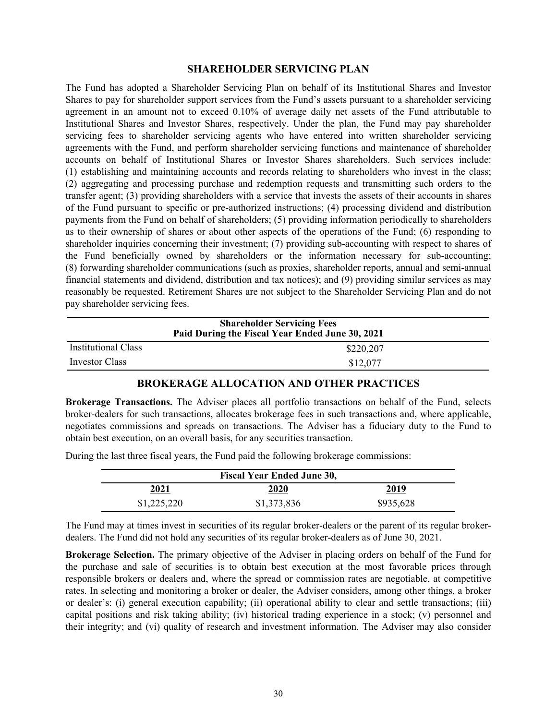#### **SHAREHOLDER SERVICING PLAN**

<span id="page-31-0"></span>The Fund has adopted a Shareholder Servicing Plan on behalf of its Institutional Shares and Investor Shares to pay for shareholder support services from the Fund's assets pursuant to a shareholder servicing agreement in an amount not to exceed 0.10% of average daily net assets of the Fund attributable to Institutional Shares and Investor Shares, respectively. Under the plan, the Fund may pay shareholder servicing fees to shareholder servicing agents who have entered into written shareholder servicing agreements with the Fund, and perform shareholder servicing functions and maintenance of shareholder accounts on behalf of Institutional Shares or Investor Shares shareholders. Such services include: (1) establishing and maintaining accounts and records relating to shareholders who invest in the class; (2) aggregating and processing purchase and redemption requests and transmitting such orders to the transfer agent; (3) providing shareholders with a service that invests the assets of their accounts in shares of the Fund pursuant to specific or pre-authorized instructions; (4) processing dividend and distribution payments from the Fund on behalf of shareholders; (5) providing information periodically to shareholders as to their ownership of shares or about other aspects of the operations of the Fund; (6) responding to shareholder inquiries concerning their investment; (7) providing sub-accounting with respect to shares of the Fund beneficially owned by shareholders or the information necessary for sub-accounting; (8) forwarding shareholder communications (such as proxies, shareholder reports, annual and semi-annual financial statements and dividend, distribution and tax notices); and (9) providing similar services as may reasonably be requested. Retirement Shares are not subject to the Shareholder Servicing Plan and do not pay shareholder servicing fees.

| <b>Shareholder Servicing Fees</b><br>Paid During the Fiscal Year Ended June 30, 2021 |           |  |
|--------------------------------------------------------------------------------------|-----------|--|
| <b>Institutional Class</b>                                                           | \$220,207 |  |
| Investor Class                                                                       | \$12,077  |  |

#### **BROKERAGE ALLOCATION AND OTHER PRACTICES**

**Brokerage Transactions.** The Adviser places all portfolio transactions on behalf of the Fund, selects broker-dealers for such transactions, allocates brokerage fees in such transactions and, where applicable, negotiates commissions and spreads on transactions. The Adviser has a fiduciary duty to the Fund to obtain best execution, on an overall basis, for any securities transaction.

During the last three fiscal years, the Fund paid the following brokerage commissions:

| <b>Fiscal Year Ended June 30,</b> |             |             |
|-----------------------------------|-------------|-------------|
| 2021                              | 2020        | <u>2019</u> |
| \$1,225,220                       | \$1,373,836 | \$935,628   |

The Fund may at times invest in securities of its regular broker-dealers or the parent of its regular brokerdealers. The Fund did not hold any securities of its regular broker-dealers as of June 30, 2021.

**Brokerage Selection.** The primary objective of the Adviser in placing orders on behalf of the Fund for the purchase and sale of securities is to obtain best execution at the most favorable prices through responsible brokers or dealers and, where the spread or commission rates are negotiable, at competitive rates. In selecting and monitoring a broker or dealer, the Adviser considers, among other things, a broker or dealer's: (i) general execution capability; (ii) operational ability to clear and settle transactions; (iii) capital positions and risk taking ability; (iv) historical trading experience in a stock; (v) personnel and their integrity; and (vi) quality of research and investment information. The Adviser may also consider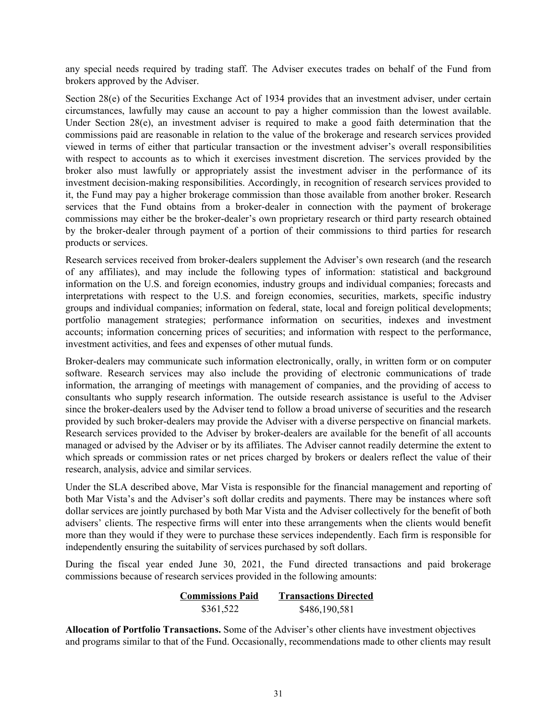any special needs required by trading staff. The Adviser executes trades on behalf of the Fund from brokers approved by the Adviser.

Section 28(e) of the Securities Exchange Act of 1934 provides that an investment adviser, under certain circumstances, lawfully may cause an account to pay a higher commission than the lowest available. Under Section 28(e), an investment adviser is required to make a good faith determination that the commissions paid are reasonable in relation to the value of the brokerage and research services provided viewed in terms of either that particular transaction or the investment adviser's overall responsibilities with respect to accounts as to which it exercises investment discretion. The services provided by the broker also must lawfully or appropriately assist the investment adviser in the performance of its investment decision-making responsibilities. Accordingly, in recognition of research services provided to it, the Fund may pay a higher brokerage commission than those available from another broker. Research services that the Fund obtains from a broker-dealer in connection with the payment of brokerage commissions may either be the broker-dealer's own proprietary research or third party research obtained by the broker-dealer through payment of a portion of their commissions to third parties for research products or services.

Research services received from broker-dealers supplement the Adviser's own research (and the research of any affiliates), and may include the following types of information: statistical and background information on the U.S. and foreign economies, industry groups and individual companies; forecasts and interpretations with respect to the U.S. and foreign economies, securities, markets, specific industry groups and individual companies; information on federal, state, local and foreign political developments; portfolio management strategies; performance information on securities, indexes and investment accounts; information concerning prices of securities; and information with respect to the performance, investment activities, and fees and expenses of other mutual funds.

Broker-dealers may communicate such information electronically, orally, in written form or on computer software. Research services may also include the providing of electronic communications of trade information, the arranging of meetings with management of companies, and the providing of access to consultants who supply research information. The outside research assistance is useful to the Adviser since the broker-dealers used by the Adviser tend to follow a broad universe of securities and the research provided by such broker-dealers may provide the Adviser with a diverse perspective on financial markets. Research services provided to the Adviser by broker-dealers are available for the benefit of all accounts managed or advised by the Adviser or by its affiliates. The Adviser cannot readily determine the extent to which spreads or commission rates or net prices charged by brokers or dealers reflect the value of their research, analysis, advice and similar services.

Under the SLA described above, Mar Vista is responsible for the financial management and reporting of both Mar Vista's and the Adviser's soft dollar credits and payments. There may be instances where soft dollar services are jointly purchased by both Mar Vista and the Adviser collectively for the benefit of both advisers' clients. The respective firms will enter into these arrangements when the clients would benefit more than they would if they were to purchase these services independently. Each firm is responsible for independently ensuring the suitability of services purchased by soft dollars.

During the fiscal year ended June 30, 2021, the Fund directed transactions and paid brokerage commissions because of research services provided in the following amounts:

| <b>Commissions Paid</b> | <b>Transactions Directed</b> |
|-------------------------|------------------------------|
| \$361,522               | \$486,190,581                |

**Allocation of Portfolio Transactions.** Some of the Adviser's other clients have investment objectives and programs similar to that of the Fund. Occasionally, recommendations made to other clients may result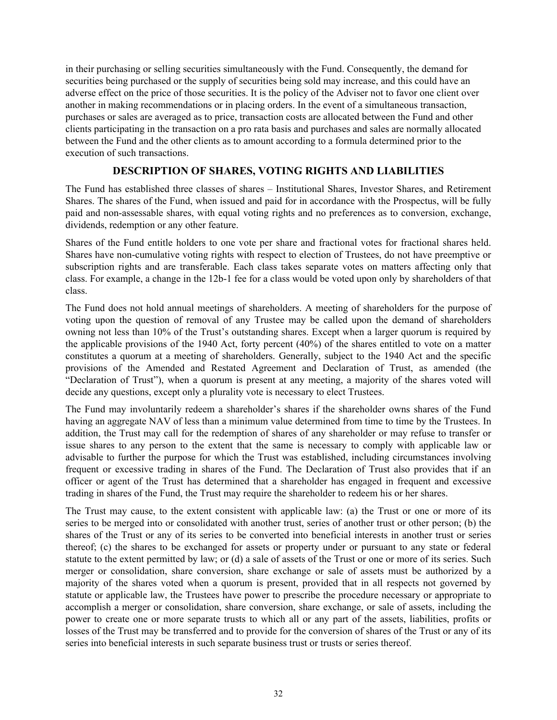<span id="page-33-0"></span>in their purchasing or selling securities simultaneously with the Fund. Consequently, the demand for securities being purchased or the supply of securities being sold may increase, and this could have an adverse effect on the price of those securities. It is the policy of the Adviser not to favor one client over another in making recommendations or in placing orders. In the event of a simultaneous transaction, purchases or sales are averaged as to price, transaction costs are allocated between the Fund and other clients participating in the transaction on a pro rata basis and purchases and sales are normally allocated between the Fund and the other clients as to amount according to a formula determined prior to the execution of such transactions.

### **DESCRIPTION OF SHARES, VOTING RIGHTS AND LIABILITIES**

The Fund has established three classes of shares – Institutional Shares, Investor Shares, and Retirement Shares. The shares of the Fund, when issued and paid for in accordance with the Prospectus, will be fully paid and non-assessable shares, with equal voting rights and no preferences as to conversion, exchange, dividends, redemption or any other feature.

Shares of the Fund entitle holders to one vote per share and fractional votes for fractional shares held. Shares have non-cumulative voting rights with respect to election of Trustees, do not have preemptive or subscription rights and are transferable. Each class takes separate votes on matters affecting only that class. For example, a change in the 12b-1 fee for a class would be voted upon only by shareholders of that class.

The Fund does not hold annual meetings of shareholders. A meeting of shareholders for the purpose of voting upon the question of removal of any Trustee may be called upon the demand of shareholders owning not less than 10% of the Trust's outstanding shares. Except when a larger quorum is required by the applicable provisions of the 1940 Act, forty percent (40%) of the shares entitled to vote on a matter constitutes a quorum at a meeting of shareholders. Generally, subject to the 1940 Act and the specific provisions of the Amended and Restated Agreement and Declaration of Trust, as amended (the "Declaration of Trust"), when a quorum is present at any meeting, a majority of the shares voted will decide any questions, except only a plurality vote is necessary to elect Trustees.

The Fund may involuntarily redeem a shareholder's shares if the shareholder owns shares of the Fund having an aggregate NAV of less than a minimum value determined from time to time by the Trustees. In addition, the Trust may call for the redemption of shares of any shareholder or may refuse to transfer or issue shares to any person to the extent that the same is necessary to comply with applicable law or advisable to further the purpose for which the Trust was established, including circumstances involving frequent or excessive trading in shares of the Fund. The Declaration of Trust also provides that if an officer or agent of the Trust has determined that a shareholder has engaged in frequent and excessive trading in shares of the Fund, the Trust may require the shareholder to redeem his or her shares.

The Trust may cause, to the extent consistent with applicable law: (a) the Trust or one or more of its series to be merged into or consolidated with another trust, series of another trust or other person; (b) the shares of the Trust or any of its series to be converted into beneficial interests in another trust or series thereof; (c) the shares to be exchanged for assets or property under or pursuant to any state or federal statute to the extent permitted by law; or (d) a sale of assets of the Trust or one or more of its series. Such merger or consolidation, share conversion, share exchange or sale of assets must be authorized by a majority of the shares voted when a quorum is present, provided that in all respects not governed by statute or applicable law, the Trustees have power to prescribe the procedure necessary or appropriate to accomplish a merger or consolidation, share conversion, share exchange, or sale of assets, including the power to create one or more separate trusts to which all or any part of the assets, liabilities, profits or losses of the Trust may be transferred and to provide for the conversion of shares of the Trust or any of its series into beneficial interests in such separate business trust or trusts or series thereof.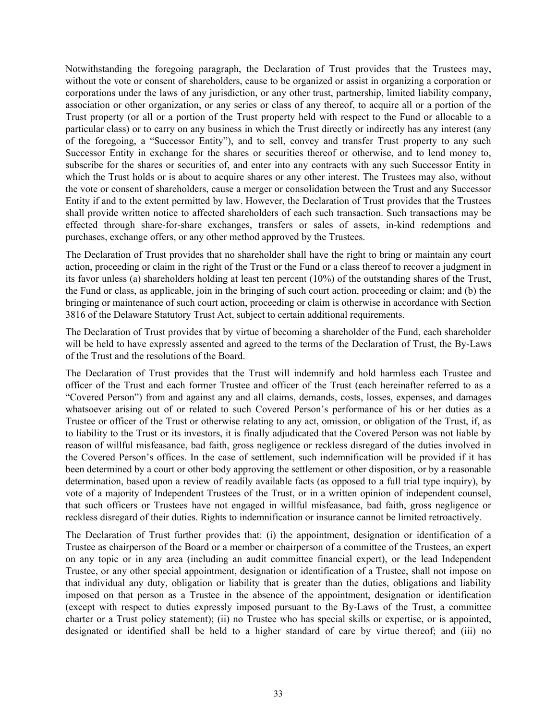Notwithstanding the foregoing paragraph, the Declaration of Trust provides that the Trustees may, without the vote or consent of shareholders, cause to be organized or assist in organizing a corporation or corporations under the laws of any jurisdiction, or any other trust, partnership, limited liability company, association or other organization, or any series or class of any thereof, to acquire all or a portion of the Trust property (or all or a portion of the Trust property held with respect to the Fund or allocable to a particular class) or to carry on any business in which the Trust directly or indirectly has any interest (any of the foregoing, a "Successor Entity"), and to sell, convey and transfer Trust property to any such Successor Entity in exchange for the shares or securities thereof or otherwise, and to lend money to, subscribe for the shares or securities of, and enter into any contracts with any such Successor Entity in which the Trust holds or is about to acquire shares or any other interest. The Trustees may also, without the vote or consent of shareholders, cause a merger or consolidation between the Trust and any Successor Entity if and to the extent permitted by law. However, the Declaration of Trust provides that the Trustees shall provide written notice to affected shareholders of each such transaction. Such transactions may be effected through share-for-share exchanges, transfers or sales of assets, in-kind redemptions and purchases, exchange offers, or any other method approved by the Trustees.

The Declaration of Trust provides that no shareholder shall have the right to bring or maintain any court action, proceeding or claim in the right of the Trust or the Fund or a class thereof to recover a judgment in its favor unless (a) shareholders holding at least ten percent (10%) of the outstanding shares of the Trust, the Fund or class, as applicable, join in the bringing of such court action, proceeding or claim; and (b) the bringing or maintenance of such court action, proceeding or claim is otherwise in accordance with Section 3816 of the Delaware Statutory Trust Act, subject to certain additional requirements.

The Declaration of Trust provides that by virtue of becoming a shareholder of the Fund, each shareholder will be held to have expressly assented and agreed to the terms of the Declaration of Trust, the By-Laws of the Trust and the resolutions of the Board.

The Declaration of Trust provides that the Trust will indemnify and hold harmless each Trustee and officer of the Trust and each former Trustee and officer of the Trust (each hereinafter referred to as a "Covered Person") from and against any and all claims, demands, costs, losses, expenses, and damages whatsoever arising out of or related to such Covered Person's performance of his or her duties as a Trustee or officer of the Trust or otherwise relating to any act, omission, or obligation of the Trust, if, as to liability to the Trust or its investors, it is finally adjudicated that the Covered Person was not liable by reason of willful misfeasance, bad faith, gross negligence or reckless disregard of the duties involved in the Covered Person's offices. In the case of settlement, such indemnification will be provided if it has been determined by a court or other body approving the settlement or other disposition, or by a reasonable determination, based upon a review of readily available facts (as opposed to a full trial type inquiry), by vote of a majority of Independent Trustees of the Trust, or in a written opinion of independent counsel, that such officers or Trustees have not engaged in willful misfeasance, bad faith, gross negligence or reckless disregard of their duties. Rights to indemnification or insurance cannot be limited retroactively.

The Declaration of Trust further provides that: (i) the appointment, designation or identification of a Trustee as chairperson of the Board or a member or chairperson of a committee of the Trustees, an expert on any topic or in any area (including an audit committee financial expert), or the lead Independent Trustee, or any other special appointment, designation or identification of a Trustee, shall not impose on that individual any duty, obligation or liability that is greater than the duties, obligations and liability imposed on that person as a Trustee in the absence of the appointment, designation or identification (except with respect to duties expressly imposed pursuant to the By-Laws of the Trust, a committee charter or a Trust policy statement); (ii) no Trustee who has special skills or expertise, or is appointed, designated or identified shall be held to a higher standard of care by virtue thereof; and (iii) no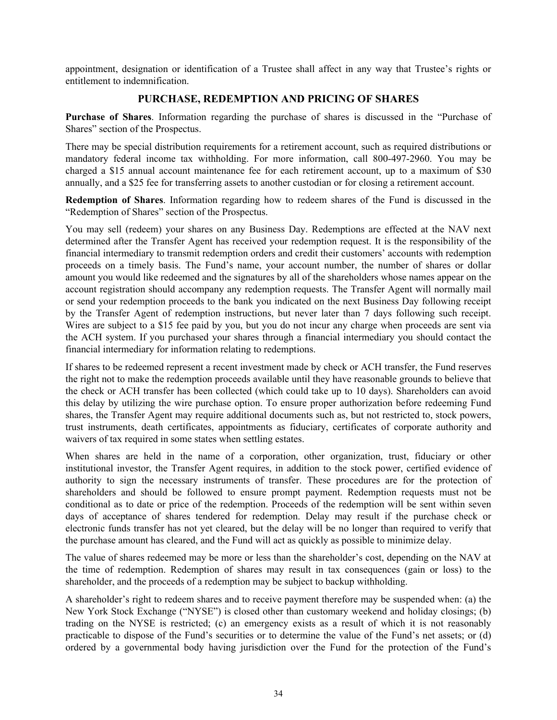<span id="page-35-0"></span>appointment, designation or identification of a Trustee shall affect in any way that Trustee's rights or entitlement to indemnification.

### **PURCHASE, REDEMPTION AND PRICING OF SHARES**

**Purchase of Shares**. Information regarding the purchase of shares is discussed in the "Purchase of Shares" section of the Prospectus.

There may be special distribution requirements for a retirement account, such as required distributions or mandatory federal income tax withholding. For more information, call 800-497-2960. You may be charged a \$15 annual account maintenance fee for each retirement account, up to a maximum of \$30 annually, and a \$25 fee for transferring assets to another custodian or for closing a retirement account.

**Redemption of Shares**. Information regarding how to redeem shares of the Fund is discussed in the "Redemption of Shares" section of the Prospectus.

You may sell (redeem) your shares on any Business Day. Redemptions are effected at the NAV next determined after the Transfer Agent has received your redemption request. It is the responsibility of the financial intermediary to transmit redemption orders and credit their customers' accounts with redemption proceeds on a timely basis. The Fund's name, your account number, the number of shares or dollar amount you would like redeemed and the signatures by all of the shareholders whose names appear on the account registration should accompany any redemption requests. The Transfer Agent will normally mail or send your redemption proceeds to the bank you indicated on the next Business Day following receipt by the Transfer Agent of redemption instructions, but never later than 7 days following such receipt. Wires are subject to a \$15 fee paid by you, but you do not incur any charge when proceeds are sent via the ACH system. If you purchased your shares through a financial intermediary you should contact the financial intermediary for information relating to redemptions.

If shares to be redeemed represent a recent investment made by check or ACH transfer, the Fund reserves the right not to make the redemption proceeds available until they have reasonable grounds to believe that the check or ACH transfer has been collected (which could take up to 10 days). Shareholders can avoid this delay by utilizing the wire purchase option. To ensure proper authorization before redeeming Fund shares, the Transfer Agent may require additional documents such as, but not restricted to, stock powers, trust instruments, death certificates, appointments as fiduciary, certificates of corporate authority and waivers of tax required in some states when settling estates.

When shares are held in the name of a corporation, other organization, trust, fiduciary or other institutional investor, the Transfer Agent requires, in addition to the stock power, certified evidence of authority to sign the necessary instruments of transfer. These procedures are for the protection of shareholders and should be followed to ensure prompt payment. Redemption requests must not be conditional as to date or price of the redemption. Proceeds of the redemption will be sent within seven days of acceptance of shares tendered for redemption. Delay may result if the purchase check or electronic funds transfer has not yet cleared, but the delay will be no longer than required to verify that the purchase amount has cleared, and the Fund will act as quickly as possible to minimize delay.

The value of shares redeemed may be more or less than the shareholder's cost, depending on the NAV at the time of redemption. Redemption of shares may result in tax consequences (gain or loss) to the shareholder, and the proceeds of a redemption may be subject to backup withholding.

A shareholder's right to redeem shares and to receive payment therefore may be suspended when: (a) the New York Stock Exchange ("NYSE") is closed other than customary weekend and holiday closings; (b) trading on the NYSE is restricted; (c) an emergency exists as a result of which it is not reasonably practicable to dispose of the Fund's securities or to determine the value of the Fund's net assets; or (d) ordered by a governmental body having jurisdiction over the Fund for the protection of the Fund's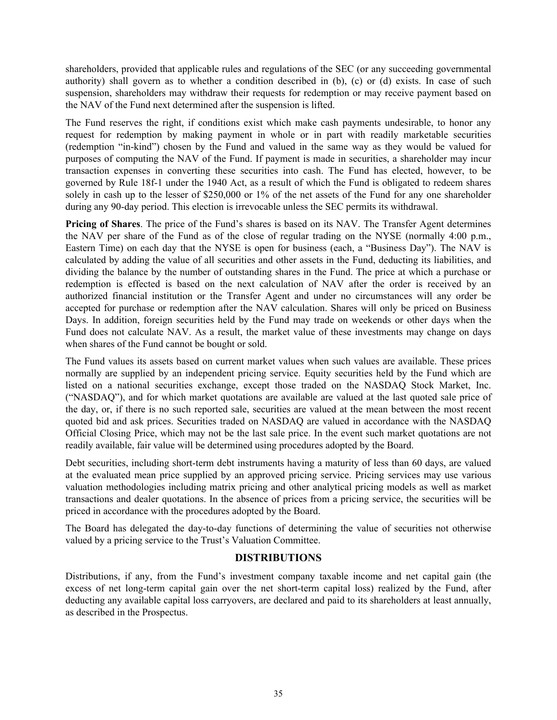<span id="page-36-0"></span>shareholders, provided that applicable rules and regulations of the SEC (or any succeeding governmental authority) shall govern as to whether a condition described in (b), (c) or (d) exists. In case of such suspension, shareholders may withdraw their requests for redemption or may receive payment based on the NAV of the Fund next determined after the suspension is lifted.

The Fund reserves the right, if conditions exist which make cash payments undesirable, to honor any request for redemption by making payment in whole or in part with readily marketable securities (redemption "in-kind") chosen by the Fund and valued in the same way as they would be valued for purposes of computing the NAV of the Fund. If payment is made in securities, a shareholder may incur transaction expenses in converting these securities into cash. The Fund has elected, however, to be governed by Rule 18f-1 under the 1940 Act, as a result of which the Fund is obligated to redeem shares solely in cash up to the lesser of \$250,000 or 1% of the net assets of the Fund for any one shareholder during any 90-day period. This election is irrevocable unless the SEC permits its withdrawal.

**Pricing of Shares**. The price of the Fund's shares is based on its NAV. The Transfer Agent determines the NAV per share of the Fund as of the close of regular trading on the NYSE (normally 4:00 p.m., Eastern Time) on each day that the NYSE is open for business (each, a "Business Day"). The NAV is calculated by adding the value of all securities and other assets in the Fund, deducting its liabilities, and dividing the balance by the number of outstanding shares in the Fund. The price at which a purchase or redemption is effected is based on the next calculation of NAV after the order is received by an authorized financial institution or the Transfer Agent and under no circumstances will any order be accepted for purchase or redemption after the NAV calculation. Shares will only be priced on Business Days. In addition, foreign securities held by the Fund may trade on weekends or other days when the Fund does not calculate NAV. As a result, the market value of these investments may change on days when shares of the Fund cannot be bought or sold.

The Fund values its assets based on current market values when such values are available. These prices normally are supplied by an independent pricing service. Equity securities held by the Fund which are listed on a national securities exchange, except those traded on the NASDAQ Stock Market, Inc. ("NASDAQ"), and for which market quotations are available are valued at the last quoted sale price of the day, or, if there is no such reported sale, securities are valued at the mean between the most recent quoted bid and ask prices. Securities traded on NASDAQ are valued in accordance with the NASDAQ Official Closing Price, which may not be the last sale price. In the event such market quotations are not readily available, fair value will be determined using procedures adopted by the Board.

Debt securities, including short-term debt instruments having a maturity of less than 60 days, are valued at the evaluated mean price supplied by an approved pricing service. Pricing services may use various valuation methodologies including matrix pricing and other analytical pricing models as well as market transactions and dealer quotations. In the absence of prices from a pricing service, the securities will be priced in accordance with the procedures adopted by the Board.

The Board has delegated the day-to-day functions of determining the value of securities not otherwise valued by a pricing service to the Trust's Valuation Committee.

### **DISTRIBUTIONS**

Distributions, if any, from the Fund's investment company taxable income and net capital gain (the excess of net long-term capital gain over the net short-term capital loss) realized by the Fund, after deducting any available capital loss carryovers, are declared and paid to its shareholders at least annually, as described in the Prospectus.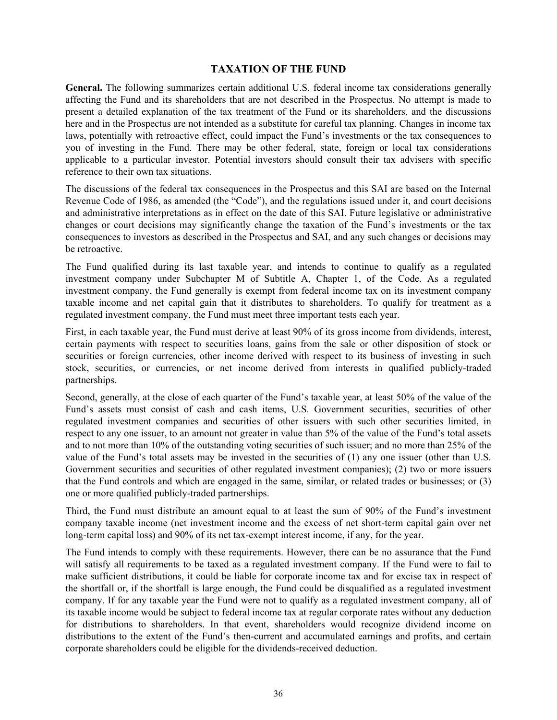### **TAXATION OF THE FUND**

<span id="page-37-0"></span>**General.** The following summarizes certain additional U.S. federal income tax considerations generally affecting the Fund and its shareholders that are not described in the Prospectus. No attempt is made to present a detailed explanation of the tax treatment of the Fund or its shareholders, and the discussions here and in the Prospectus are not intended as a substitute for careful tax planning. Changes in income tax laws, potentially with retroactive effect, could impact the Fund's investments or the tax consequences to you of investing in the Fund. There may be other federal, state, foreign or local tax considerations applicable to a particular investor. Potential investors should consult their tax advisers with specific reference to their own tax situations.

The discussions of the federal tax consequences in the Prospectus and this SAI are based on the Internal Revenue Code of 1986, as amended (the "Code"), and the regulations issued under it, and court decisions and administrative interpretations as in effect on the date of this SAI. Future legislative or administrative changes or court decisions may significantly change the taxation of the Fund's investments or the tax consequences to investors as described in the Prospectus and SAI, and any such changes or decisions may be retroactive.

The Fund qualified during its last taxable year, and intends to continue to qualify as a regulated investment company under Subchapter M of Subtitle A, Chapter 1, of the Code. As a regulated investment company, the Fund generally is exempt from federal income tax on its investment company taxable income and net capital gain that it distributes to shareholders. To qualify for treatment as a regulated investment company, the Fund must meet three important tests each year.

First, in each taxable year, the Fund must derive at least 90% of its gross income from dividends, interest, certain payments with respect to securities loans, gains from the sale or other disposition of stock or securities or foreign currencies, other income derived with respect to its business of investing in such stock, securities, or currencies, or net income derived from interests in qualified publicly-traded partnerships.

Second, generally, at the close of each quarter of the Fund's taxable year, at least 50% of the value of the Fund's assets must consist of cash and cash items, U.S. Government securities, securities of other regulated investment companies and securities of other issuers with such other securities limited, in respect to any one issuer, to an amount not greater in value than 5% of the value of the Fund's total assets and to not more than 10% of the outstanding voting securities of such issuer; and no more than 25% of the value of the Fund's total assets may be invested in the securities of (1) any one issuer (other than U.S. Government securities and securities of other regulated investment companies); (2) two or more issuers that the Fund controls and which are engaged in the same, similar, or related trades or businesses; or (3) one or more qualified publicly-traded partnerships.

Third, the Fund must distribute an amount equal to at least the sum of 90% of the Fund's investment company taxable income (net investment income and the excess of net short-term capital gain over net long-term capital loss) and 90% of its net tax-exempt interest income, if any, for the year.

The Fund intends to comply with these requirements. However, there can be no assurance that the Fund will satisfy all requirements to be taxed as a regulated investment company. If the Fund were to fail to make sufficient distributions, it could be liable for corporate income tax and for excise tax in respect of the shortfall or, if the shortfall is large enough, the Fund could be disqualified as a regulated investment company. If for any taxable year the Fund were not to qualify as a regulated investment company, all of its taxable income would be subject to federal income tax at regular corporate rates without any deduction for distributions to shareholders. In that event, shareholders would recognize dividend income on distributions to the extent of the Fund's then-current and accumulated earnings and profits, and certain corporate shareholders could be eligible for the dividends-received deduction.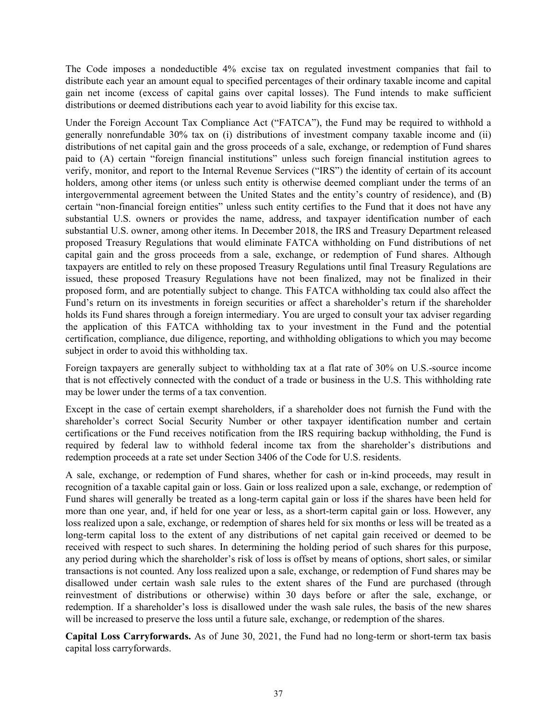The Code imposes a nondeductible 4% excise tax on regulated investment companies that fail to distribute each year an amount equal to specified percentages of their ordinary taxable income and capital gain net income (excess of capital gains over capital losses). The Fund intends to make sufficient distributions or deemed distributions each year to avoid liability for this excise tax.

Under the Foreign Account Tax Compliance Act ("FATCA"), the Fund may be required to withhold a generally nonrefundable 30% tax on (i) distributions of investment company taxable income and (ii) distributions of net capital gain and the gross proceeds of a sale, exchange, or redemption of Fund shares paid to (A) certain "foreign financial institutions" unless such foreign financial institution agrees to verify, monitor, and report to the Internal Revenue Services ("IRS") the identity of certain of its account holders, among other items (or unless such entity is otherwise deemed compliant under the terms of an intergovernmental agreement between the United States and the entity's country of residence), and (B) certain "non-financial foreign entities" unless such entity certifies to the Fund that it does not have any substantial U.S. owners or provides the name, address, and taxpayer identification number of each substantial U.S. owner, among other items. In December 2018, the IRS and Treasury Department released proposed Treasury Regulations that would eliminate FATCA withholding on Fund distributions of net capital gain and the gross proceeds from a sale, exchange, or redemption of Fund shares. Although taxpayers are entitled to rely on these proposed Treasury Regulations until final Treasury Regulations are issued, these proposed Treasury Regulations have not been finalized, may not be finalized in their proposed form, and are potentially subject to change. This FATCA withholding tax could also affect the Fund's return on its investments in foreign securities or affect a shareholder's return if the shareholder holds its Fund shares through a foreign intermediary. You are urged to consult your tax adviser regarding the application of this FATCA withholding tax to your investment in the Fund and the potential certification, compliance, due diligence, reporting, and withholding obligations to which you may become subject in order to avoid this withholding tax.

Foreign taxpayers are generally subject to withholding tax at a flat rate of 30% on U.S.-source income that is not effectively connected with the conduct of a trade or business in the U.S. This withholding rate may be lower under the terms of a tax convention.

Except in the case of certain exempt shareholders, if a shareholder does not furnish the Fund with the shareholder's correct Social Security Number or other taxpayer identification number and certain certifications or the Fund receives notification from the IRS requiring backup withholding, the Fund is required by federal law to withhold federal income tax from the shareholder's distributions and redemption proceeds at a rate set under Section 3406 of the Code for U.S. residents.

A sale, exchange, or redemption of Fund shares, whether for cash or in-kind proceeds, may result in recognition of a taxable capital gain or loss. Gain or loss realized upon a sale, exchange, or redemption of Fund shares will generally be treated as a long-term capital gain or loss if the shares have been held for more than one year, and, if held for one year or less, as a short-term capital gain or loss. However, any loss realized upon a sale, exchange, or redemption of shares held for six months or less will be treated as a long-term capital loss to the extent of any distributions of net capital gain received or deemed to be received with respect to such shares. In determining the holding period of such shares for this purpose, any period during which the shareholder's risk of loss is offset by means of options, short sales, or similar transactions is not counted. Any loss realized upon a sale, exchange, or redemption of Fund shares may be disallowed under certain wash sale rules to the extent shares of the Fund are purchased (through reinvestment of distributions or otherwise) within 30 days before or after the sale, exchange, or redemption. If a shareholder's loss is disallowed under the wash sale rules, the basis of the new shares will be increased to preserve the loss until a future sale, exchange, or redemption of the shares.

**Capital Loss Carryforwards.** As of June 30, 2021, the Fund had no long-term or short-term tax basis capital loss carryforwards.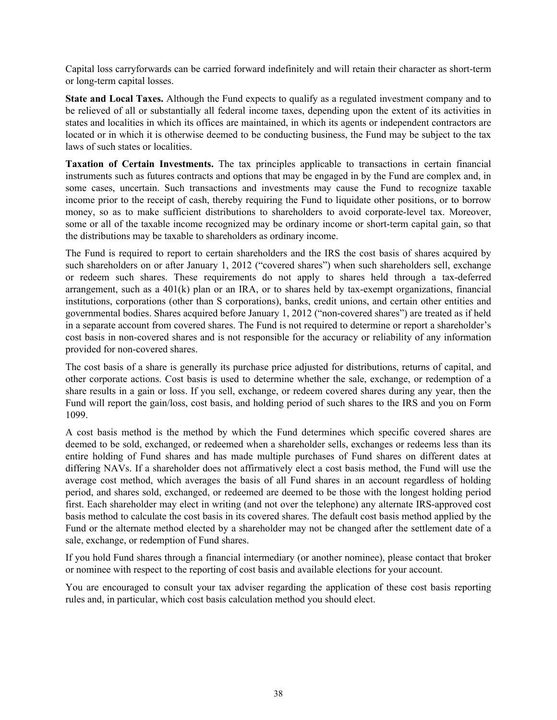Capital loss carryforwards can be carried forward indefinitely and will retain their character as short-term or long-term capital losses.

**State and Local Taxes.** Although the Fund expects to qualify as a regulated investment company and to be relieved of all or substantially all federal income taxes, depending upon the extent of its activities in states and localities in which its offices are maintained, in which its agents or independent contractors are located or in which it is otherwise deemed to be conducting business, the Fund may be subject to the tax laws of such states or localities.

**Taxation of Certain Investments.** The tax principles applicable to transactions in certain financial instruments such as futures contracts and options that may be engaged in by the Fund are complex and, in some cases, uncertain. Such transactions and investments may cause the Fund to recognize taxable income prior to the receipt of cash, thereby requiring the Fund to liquidate other positions, or to borrow money, so as to make sufficient distributions to shareholders to avoid corporate-level tax. Moreover, some or all of the taxable income recognized may be ordinary income or short-term capital gain, so that the distributions may be taxable to shareholders as ordinary income.

The Fund is required to report to certain shareholders and the IRS the cost basis of shares acquired by such shareholders on or after January 1, 2012 ("covered shares") when such shareholders sell, exchange or redeem such shares. These requirements do not apply to shares held through a tax-deferred arrangement, such as a 401(k) plan or an IRA, or to shares held by tax-exempt organizations, financial institutions, corporations (other than S corporations), banks, credit unions, and certain other entities and governmental bodies. Shares acquired before January 1, 2012 ("non-covered shares") are treated as if held in a separate account from covered shares. The Fund is not required to determine or report a shareholder's cost basis in non-covered shares and is not responsible for the accuracy or reliability of any information provided for non-covered shares.

The cost basis of a share is generally its purchase price adjusted for distributions, returns of capital, and other corporate actions. Cost basis is used to determine whether the sale, exchange, or redemption of a share results in a gain or loss. If you sell, exchange, or redeem covered shares during any year, then the Fund will report the gain/loss, cost basis, and holding period of such shares to the IRS and you on Form 1099.

A cost basis method is the method by which the Fund determines which specific covered shares are deemed to be sold, exchanged, or redeemed when a shareholder sells, exchanges or redeems less than its entire holding of Fund shares and has made multiple purchases of Fund shares on different dates at differing NAVs. If a shareholder does not affirmatively elect a cost basis method, the Fund will use the average cost method, which averages the basis of all Fund shares in an account regardless of holding period, and shares sold, exchanged, or redeemed are deemed to be those with the longest holding period first. Each shareholder may elect in writing (and not over the telephone) any alternate IRS-approved cost basis method to calculate the cost basis in its covered shares. The default cost basis method applied by the Fund or the alternate method elected by a shareholder may not be changed after the settlement date of a sale, exchange, or redemption of Fund shares.

If you hold Fund shares through a financial intermediary (or another nominee), please contact that broker or nominee with respect to the reporting of cost basis and available elections for your account.

You are encouraged to consult your tax adviser regarding the application of these cost basis reporting rules and, in particular, which cost basis calculation method you should elect.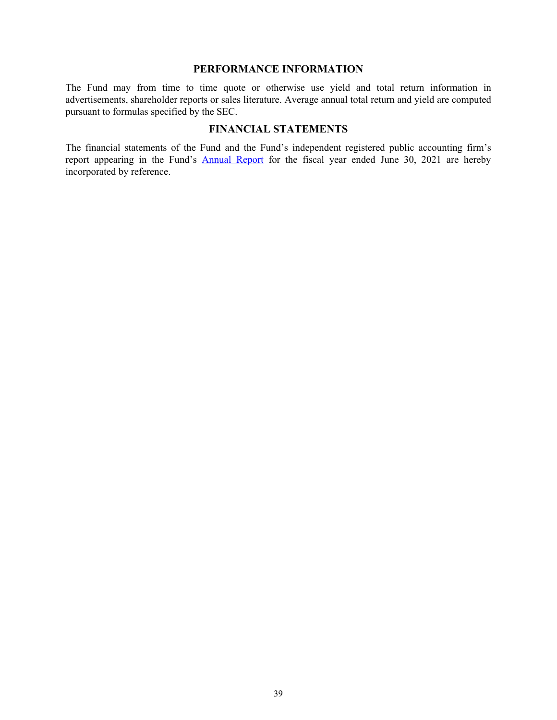#### **PERFORMANCE INFORMATION**

<span id="page-40-0"></span>The Fund may from time to time quote or otherwise use yield and total return information in advertisements, shareholder reports or sales literature. Average annual total return and yield are computed pursuant to formulas specified by the SEC.

### **FINANCIAL STATEMENTS**

The financial statements of the Fund and the Fund's independent registered public accounting firm's report appearing in the Fund's [Annual Report](http://www.sec.gov/Archives/edgar/data/1359057/000089853121000419/hrscgf-ncsra.htm) for the fiscal year ended June 30, 2021 are hereby incorporated by reference.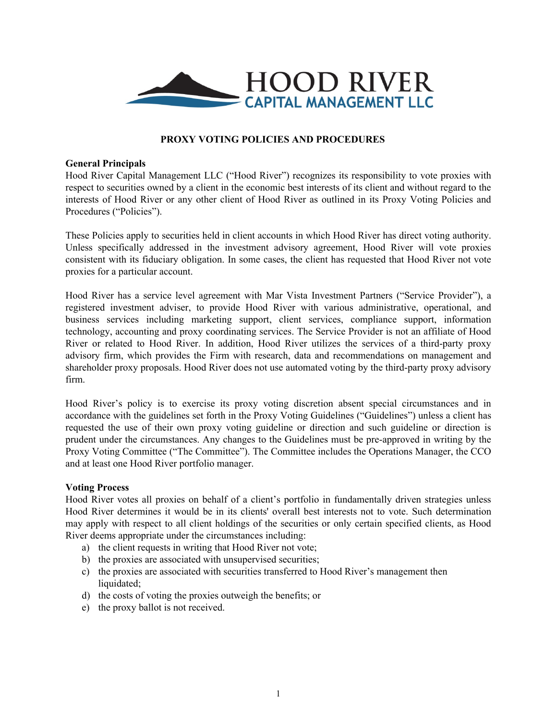<span id="page-41-0"></span>

#### **PROXY VOTING POLICIES AND PROCEDURES**

#### **General Principals**

Hood River Capital Management LLC ("Hood River") recognizes its responsibility to vote proxies with respect to securities owned by a client in the economic best interests of its client and without regard to the interests of Hood River or any other client of Hood River as outlined in its Proxy Voting Policies and Procedures ("Policies").

These Policies apply to securities held in client accounts in which Hood River has direct voting authority. Unless specifically addressed in the investment advisory agreement, Hood River will vote proxies consistent with its fiduciary obligation. In some cases, the client has requested that Hood River not vote proxies for a particular account.

Hood River has a service level agreement with Mar Vista Investment Partners ("Service Provider"), a registered investment adviser, to provide Hood River with various administrative, operational, and business services including marketing support, client services, compliance support, information technology, accounting and proxy coordinating services. The Service Provider is not an affiliate of Hood River or related to Hood River. In addition, Hood River utilizes the services of a third-party proxy advisory firm, which provides the Firm with research, data and recommendations on management and shareholder proxy proposals. Hood River does not use automated voting by the third-party proxy advisory firm.

Hood River's policy is to exercise its proxy voting discretion absent special circumstances and in accordance with the guidelines set forth in the Proxy Voting Guidelines ("Guidelines") unless a client has requested the use of their own proxy voting guideline or direction and such guideline or direction is prudent under the circumstances. Any changes to the Guidelines must be pre-approved in writing by the Proxy Voting Committee ("The Committee"). The Committee includes the Operations Manager, the CCO and at least one Hood River portfolio manager.

#### **Voting Process**

Hood River votes all proxies on behalf of a client's portfolio in fundamentally driven strategies unless Hood River determines it would be in its clients' overall best interests not to vote. Such determination may apply with respect to all client holdings of the securities or only certain specified clients, as Hood River deems appropriate under the circumstances including:

- a) the client requests in writing that Hood River not vote;
- b) the proxies are associated with unsupervised securities;
- c) the proxies are associated with securities transferred to Hood River's management then liquidated;
- d) the costs of voting the proxies outweigh the benefits; or
- e) the proxy ballot is not received.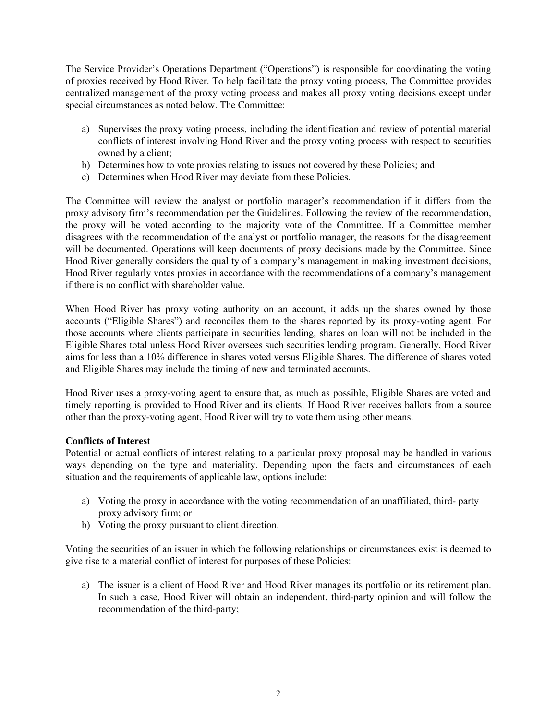The Service Provider's Operations Department ("Operations") is responsible for coordinating the voting of proxies received by Hood River. To help facilitate the proxy voting process, The Committee provides centralized management of the proxy voting process and makes all proxy voting decisions except under special circumstances as noted below. The Committee:

- a) Supervises the proxy voting process, including the identification and review of potential material conflicts of interest involving Hood River and the proxy voting process with respect to securities owned by a client;
- b) Determines how to vote proxies relating to issues not covered by these Policies; and
- c) Determines when Hood River may deviate from these Policies.

The Committee will review the analyst or portfolio manager's recommendation if it differs from the proxy advisory firm's recommendation per the Guidelines. Following the review of the recommendation, the proxy will be voted according to the majority vote of the Committee. If a Committee member disagrees with the recommendation of the analyst or portfolio manager, the reasons for the disagreement will be documented. Operations will keep documents of proxy decisions made by the Committee. Since Hood River generally considers the quality of a company's management in making investment decisions, Hood River regularly votes proxies in accordance with the recommendations of a company's management if there is no conflict with shareholder value.

When Hood River has proxy voting authority on an account, it adds up the shares owned by those accounts ("Eligible Shares") and reconciles them to the shares reported by its proxy-voting agent. For those accounts where clients participate in securities lending, shares on loan will not be included in the Eligible Shares total unless Hood River oversees such securities lending program. Generally, Hood River aims for less than a 10% difference in shares voted versus Eligible Shares. The difference of shares voted and Eligible Shares may include the timing of new and terminated accounts.

Hood River uses a proxy-voting agent to ensure that, as much as possible, Eligible Shares are voted and timely reporting is provided to Hood River and its clients. If Hood River receives ballots from a source other than the proxy-voting agent, Hood River will try to vote them using other means.

#### **Conflicts of Interest**

Potential or actual conflicts of interest relating to a particular proxy proposal may be handled in various ways depending on the type and materiality. Depending upon the facts and circumstances of each situation and the requirements of applicable law, options include:

- a) Voting the proxy in accordance with the voting recommendation of an unaffiliated, third- party proxy advisory firm; or
- b) Voting the proxy pursuant to client direction.

Voting the securities of an issuer in which the following relationships or circumstances exist is deemed to give rise to a material conflict of interest for purposes of these Policies:

a) The issuer is a client of Hood River and Hood River manages its portfolio or its retirement plan. In such a case, Hood River will obtain an independent, third-party opinion and will follow the recommendation of the third-party;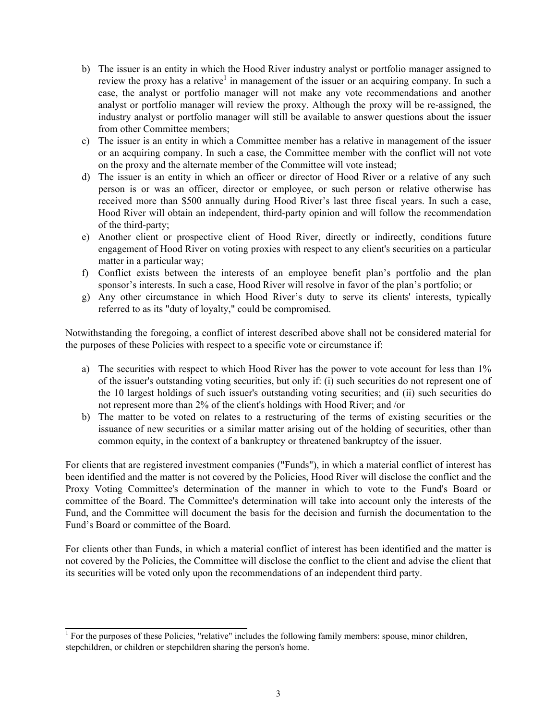- b) The issuer is an entity in which the Hood River industry analyst or portfolio manager assigned to review the proxy has a relative<sup>1</sup> in management of the issuer or an acquiring company. In such a case, the analyst or portfolio manager will not make any vote recommendations and another analyst or portfolio manager will review the proxy. Although the proxy will be re-assigned, the industry analyst or portfolio manager will still be available to answer questions about the issuer from other Committee members;
- c) The issuer is an entity in which a Committee member has a relative in management of the issuer or an acquiring company. In such a case, the Committee member with the conflict will not vote on the proxy and the alternate member of the Committee will vote instead;
- d) The issuer is an entity in which an officer or director of Hood River or a relative of any such person is or was an officer, director or employee, or such person or relative otherwise has received more than \$500 annually during Hood River's last three fiscal years. In such a case, Hood River will obtain an independent, third-party opinion and will follow the recommendation of the third-party;
- e) Another client or prospective client of Hood River, directly or indirectly, conditions future engagement of Hood River on voting proxies with respect to any client's securities on a particular matter in a particular way;
- f) Conflict exists between the interests of an employee benefit plan's portfolio and the plan sponsor's interests. In such a case, Hood River will resolve in favor of the plan's portfolio; or
- g) Any other circumstance in which Hood River's duty to serve its clients' interests, typically referred to as its "duty of loyalty," could be compromised.

Notwithstanding the foregoing, a conflict of interest described above shall not be considered material for the purposes of these Policies with respect to a specific vote or circumstance if:

- a) The securities with respect to which Hood River has the power to vote account for less than 1% of the issuer's outstanding voting securities, but only if: (i) such securities do not represent one of the 10 largest holdings of such issuer's outstanding voting securities; and (ii) such securities do not represent more than 2% of the client's holdings with Hood River; and /or
- b) The matter to be voted on relates to a restructuring of the terms of existing securities or the issuance of new securities or a similar matter arising out of the holding of securities, other than common equity, in the context of a bankruptcy or threatened bankruptcy of the issuer.

For clients that are registered investment companies ("Funds"), in which a material conflict of interest has been identified and the matter is not covered by the Policies, Hood River will disclose the conflict and the Proxy Voting Committee's determination of the manner in which to vote to the Fund's Board or committee of the Board. The Committee's determination will take into account only the interests of the Fund, and the Committee will document the basis for the decision and furnish the documentation to the Fund's Board or committee of the Board.

For clients other than Funds, in which a material conflict of interest has been identified and the matter is not covered by the Policies, the Committee will disclose the conflict to the client and advise the client that its securities will be voted only upon the recommendations of an independent third party.

<sup>&</sup>lt;sup>1</sup> For the purposes of these Policies, "relative" includes the following family members: spouse, minor children, stepchildren, or children or stepchildren sharing the person's home.